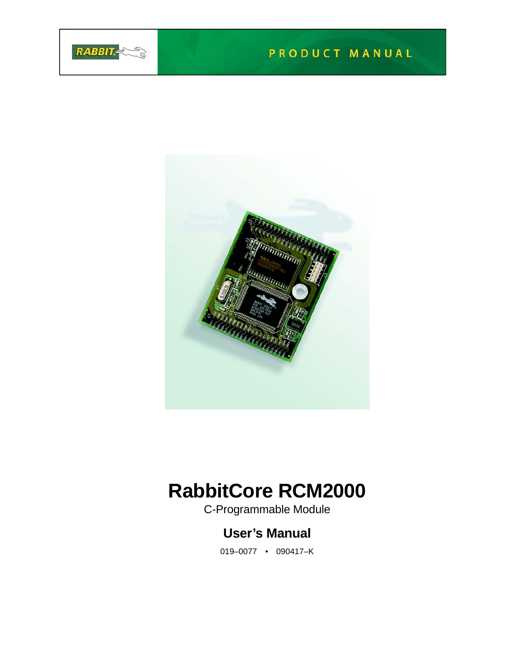

# PRODUCT MANUAL



# **RabbitCore RCM2000**

C-Programmable Module

# **User's Manual**

019–0077 • 090417–K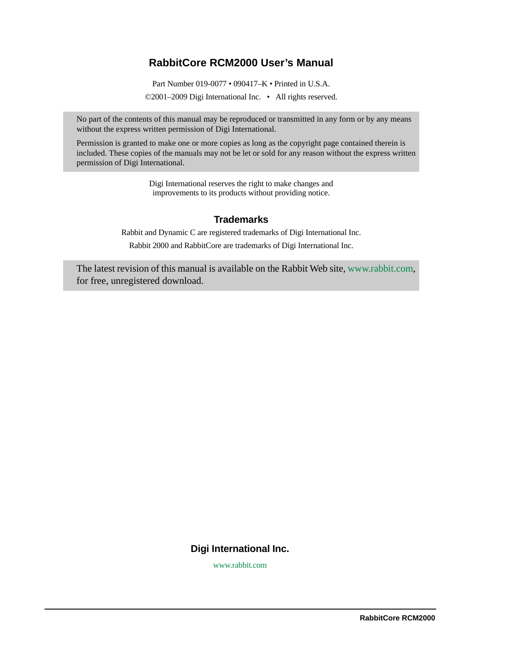#### **RabbitCore RCM2000 User's Manual**

Part Number 019-0077 • 090417–K • Printed in U.S.A.

©2001–2009 Digi International Inc. • All rights reserved.

No part of the contents of this manual may be reproduced or transmitted in any form or by any means without the express written permission of Digi International.

Permission is granted to make one or more copies as long as the copyright page contained therein is included. These copies of the manuals may not be let or sold for any reason without the express written permission of Digi International.

> Digi International reserves the right to make changes and improvements to its products without providing notice.

#### **Trademarks**

Rabbit and Dynamic C are registered trademarks of Digi International Inc. Rabbit 2000 and RabbitCore are trademarks of Digi International Inc.

The latest revision of this manual is available on the Rabbit Web site, [www.rabbit.com,](http://www.rabbit.com/) for free, unregistered download.

#### **Digi International Inc.**

[w](http://www.rabbit.com/)ww.rabbit.com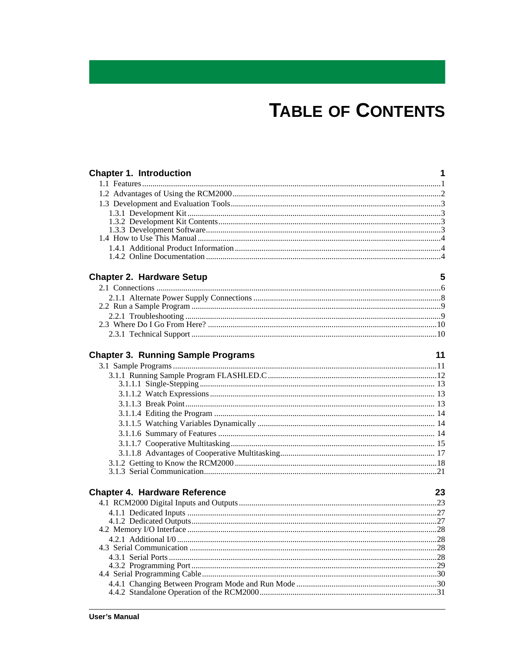# **TABLE OF CONTENTS**

| <b>Chapter 1. Introduction</b>            | 1  |
|-------------------------------------------|----|
|                                           |    |
|                                           |    |
|                                           |    |
|                                           |    |
|                                           |    |
|                                           |    |
|                                           |    |
|                                           |    |
|                                           |    |
| <b>Chapter 2. Hardware Setup</b>          | 5  |
|                                           |    |
|                                           |    |
|                                           |    |
|                                           |    |
|                                           |    |
|                                           |    |
|                                           |    |
| <b>Chapter 3. Running Sample Programs</b> | 11 |
|                                           |    |
|                                           |    |
|                                           |    |
|                                           |    |
|                                           |    |
|                                           |    |
|                                           |    |
|                                           |    |
|                                           |    |
|                                           |    |
|                                           |    |
|                                           |    |
|                                           |    |
| <b>Chapter 4. Hardware Reference</b>      | 23 |
|                                           |    |
|                                           |    |
|                                           |    |
|                                           |    |
|                                           |    |
|                                           |    |
|                                           |    |
|                                           |    |
|                                           |    |
|                                           |    |
|                                           |    |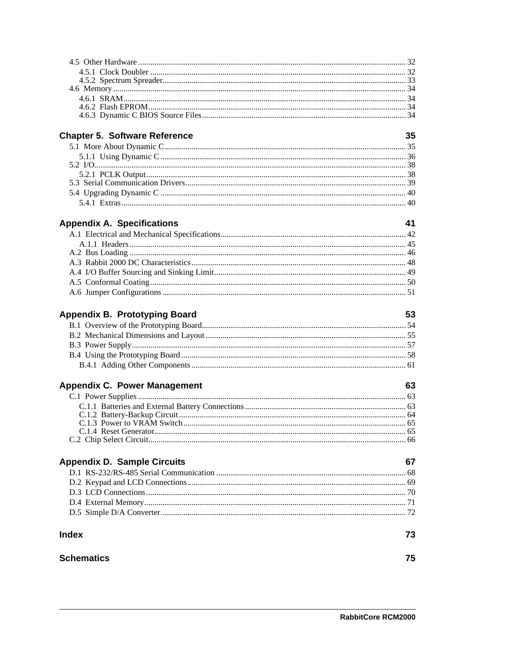| <b>Chapter 5. Software Reference</b> | 35 |
|--------------------------------------|----|
|                                      |    |
|                                      |    |
|                                      |    |
|                                      |    |
|                                      |    |
|                                      |    |
|                                      |    |
| <b>Appendix A. Specifications</b>    | 41 |
|                                      |    |
|                                      |    |
|                                      |    |
|                                      |    |
|                                      |    |
|                                      |    |
|                                      |    |
|                                      |    |
| <b>Appendix B. Prototyping Board</b> | 53 |
|                                      |    |
|                                      |    |
|                                      |    |
|                                      |    |
|                                      |    |
|                                      |    |
| <b>Appendix C. Power Management</b>  | 63 |
|                                      |    |
|                                      |    |
|                                      |    |
|                                      |    |
|                                      |    |
|                                      |    |
| <b>Appendix D. Sample Circuits</b>   | 67 |
|                                      |    |
|                                      |    |
|                                      |    |
|                                      |    |
|                                      |    |
| <b>Index</b>                         | 73 |
|                                      |    |
| <b>Schematics</b>                    | 75 |
|                                      |    |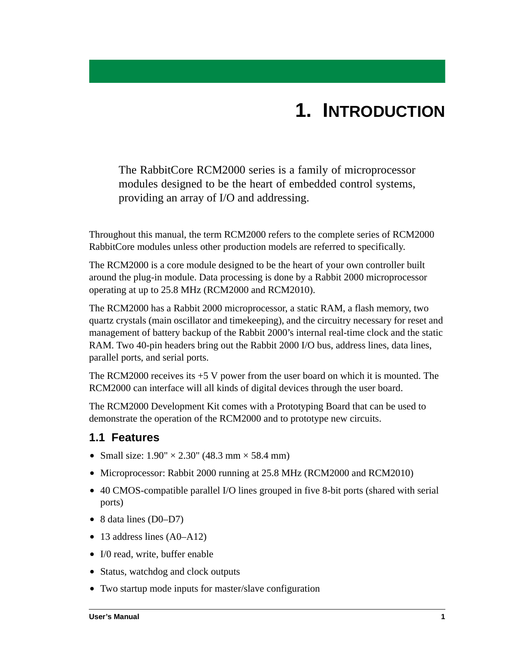# **1. INTRODUCTION**

<span id="page-4-0"></span>The RabbitCore RCM2000 series is a family of microprocessor modules designed to be the heart of embedded control systems, providing an array of I/O and addressing.

Throughout this manual, the term RCM2000 refers to the complete series of RCM2000 RabbitCore modules unless other production models are referred to specifically.

The RCM2000 is a core module designed to be the heart of your own controller built around the plug-in module. Data processing is done by a Rabbit 2000 microprocessor operating at up to 25.8 MHz (RCM2000 and RCM2010).

The RCM2000 has a Rabbit 2000 microprocessor, a static RAM, a flash memory, two quartz crystals (main oscillator and timekeeping), and the circuitry necessary for reset and management of battery backup of the Rabbit 2000's internal real-time clock and the static RAM. Two 40-pin headers bring out the Rabbit 2000 I/O bus, address lines, data lines, parallel ports, and serial ports.

The RCM2000 receives its +5 V power from the user board on which it is mounted. The RCM2000 can interface will all kinds of digital devices through the user board.

The RCM2000 Development Kit comes with a Prototyping Board that can be used to demonstrate the operation of the RCM2000 and to prototype new circuits.

# <span id="page-4-1"></span>**1.1 Features**

- Small size:  $1.90'' \times 2.30''$  (48.3 mm  $\times$  58.4 mm)
- **•** Microprocessor: Rabbit 2000 running at 25.8 MHz (RCM2000 and RCM2010)
- **•** 40 CMOS-compatible parallel I/O lines grouped in five 8-bit ports (shared with serial ports)
- 8 data lines (D0–D7)
- 13 address lines (A0–A12)
- **•** I/0 read, write, buffer enable
- **•** Status, watchdog and clock outputs
- **•** Two startup mode inputs for master/slave configuration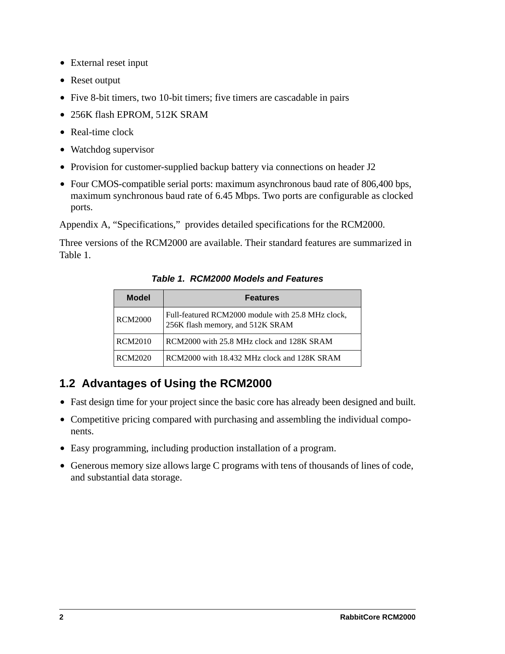- **•** External reset input
- **•** Reset output
- **•** Five 8-bit timers, two 10-bit timers; five timers are cascadable in pairs
- **•** 256K flash EPROM, 512K SRAM
- **•** Real-time clock
- **•** Watchdog supervisor
- Provision for customer-supplied backup battery via connections on header J2
- **•** Four CMOS-compatible serial ports: maximum asynchronous baud rate of 806,400 bps, maximum synchronous baud rate of 6.45 Mbps. Two ports are configurable as clocked ports.

[Appendix A, "Specifications,"](#page-44-1) provides detailed specifications for the RCM2000.

<span id="page-5-1"></span>Three versions of the RCM2000 are available. Their standard features are summarized in [Table 1](#page-5-1).

*Table 1. RCM2000 Models and Features*

| <b>Model</b>   | <b>Features</b>                                                                       |  |  |
|----------------|---------------------------------------------------------------------------------------|--|--|
| <b>RCM2000</b> | Full-featured RCM2000 module with 25.8 MHz clock,<br>256K flash memory, and 512K SRAM |  |  |
| <b>RCM2010</b> | RCM2000 with 25.8 MHz clock and 128K SRAM                                             |  |  |
| RCM2020        | RCM2000 with 18.432 MHz clock and 128K SRAM                                           |  |  |

# <span id="page-5-0"></span>**1.2 Advantages of Using the RCM2000**

- Fast design time for your project since the basic core has already been designed and built.
- **•** Competitive pricing compared with purchasing and assembling the individual components.
- **•** Easy programming, including production installation of a program.
- **•** Generous memory size allows large C programs with tens of thousands of lines of code, and substantial data storage.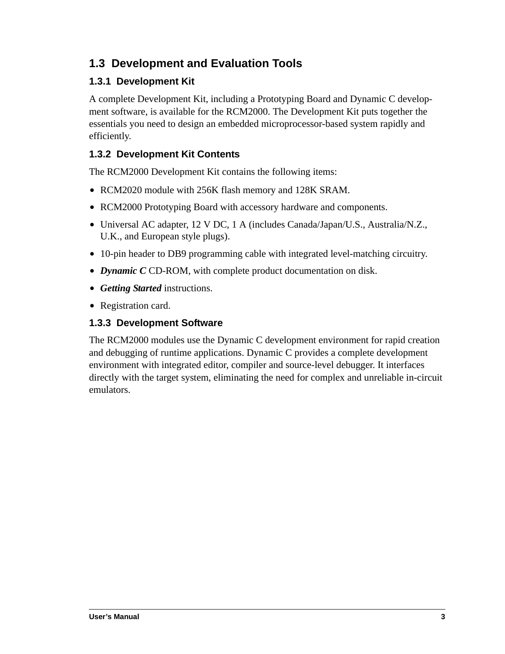# <span id="page-6-0"></span>**1.3 Development and Evaluation Tools**

### <span id="page-6-1"></span>**1.3.1 Development Kit**

A complete Development Kit, including a Prototyping Board and Dynamic C development software, is available for the RCM2000. The Development Kit puts together the essentials you need to design an embedded microprocessor-based system rapidly and efficiently.

## <span id="page-6-2"></span>**1.3.2 Development Kit Contents**

The RCM2000 Development Kit contains the following items:

- **•** RCM2020 module with 256K flash memory and 128K SRAM.
- **•** RCM2000 Prototyping Board with accessory hardware and components.
- **•** Universal AC adapter, 12 V DC, 1 A (includes Canada/Japan/U.S., Australia/N.Z., U.K., and European style plugs).
- **•** 10-pin header to DB9 programming cable with integrated level-matching circuitry.
- **•** *Dynamic C* CD-ROM, with complete product documentation on disk.
- **•** *Getting Started* instructions.
- **•** Registration card.

#### <span id="page-6-3"></span>**1.3.3 Development Software**

The RCM2000 modules use the Dynamic C development environment for rapid creation and debugging of runtime applications. Dynamic C provides a complete development environment with integrated editor, compiler and source-level debugger. It interfaces directly with the target system, eliminating the need for complex and unreliable in-circuit emulators.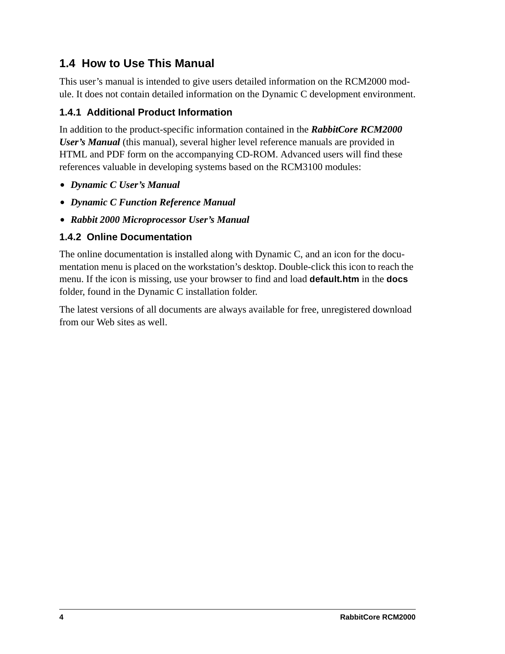# <span id="page-7-0"></span>**1.4 How to Use This Manual**

This user's manual is intended to give users detailed information on the RCM2000 module. It does not contain detailed information on the Dynamic C development environment.

### <span id="page-7-1"></span>**1.4.1 Additional Product Information**

In addition to the product-specific information contained in the *RabbitCore RCM2000 User's Manual* (this manual), several higher level reference manuals are provided in HTML and PDF form on the accompanying CD-ROM. Advanced users will find these references valuable in developing systems based on the RCM3100 modules:

- **•** *Dynamic C User's Manual*
- **•** *Dynamic C Function Reference Manual*
- **•** *Rabbit 2000 Microprocessor User's Manual*

### <span id="page-7-2"></span>**1.4.2 Online Documentation**

The online documentation is installed along with Dynamic C, and an icon for the documentation menu is placed on the workstation's desktop. Double-click this icon to reach the menu. If the icon is missing, use your browser to find and load **default.htm** in the **docs** folder, found in the Dynamic C installation folder.

The latest versions of all documents are always available for free, unregistered download from our Web sites as well.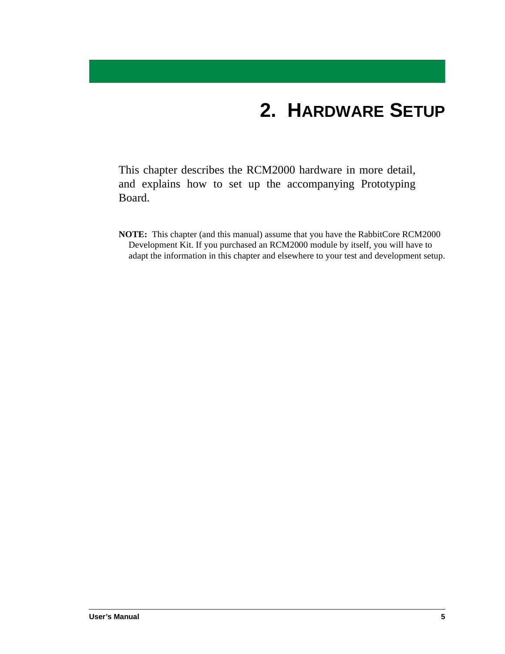# **2. HARDWARE SETUP**

<span id="page-8-0"></span>This chapter describes the RCM2000 hardware in more detail, and explains how to set up the accompanying Prototyping Board.

**NOTE:** This chapter (and this manual) assume that you have the RabbitCore RCM2000 Development Kit. If you purchased an RCM2000 module by itself, you will have to adapt the information in this chapter and elsewhere to your test and development setup.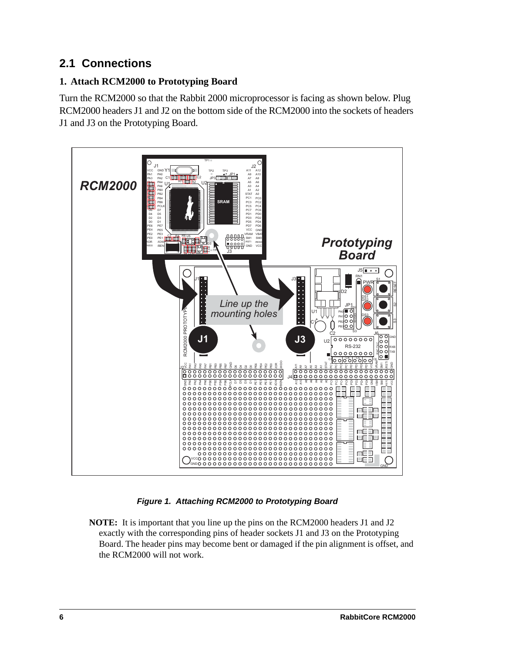# <span id="page-9-1"></span><span id="page-9-0"></span>**2.1 Connections**

### **1. Attach RCM2000 to Prototyping Board**

Turn the RCM2000 so that the Rabbit 2000 microprocessor is facing as shown below. Plug RCM2000 headers J1 and J2 on the bottom side of the RCM2000 into the sockets of headers J1 and J3 on the Prototyping Board.



#### *Figure 1. Attaching RCM2000 to Prototyping Board*

**NOTE:** It is important that you line up the pins on the RCM2000 headers J1 and J2 exactly with the corresponding pins of header sockets J1 and J3 on the Prototyping Board. The header pins may become bent or damaged if the pin alignment is offset, and the RCM2000 will not work.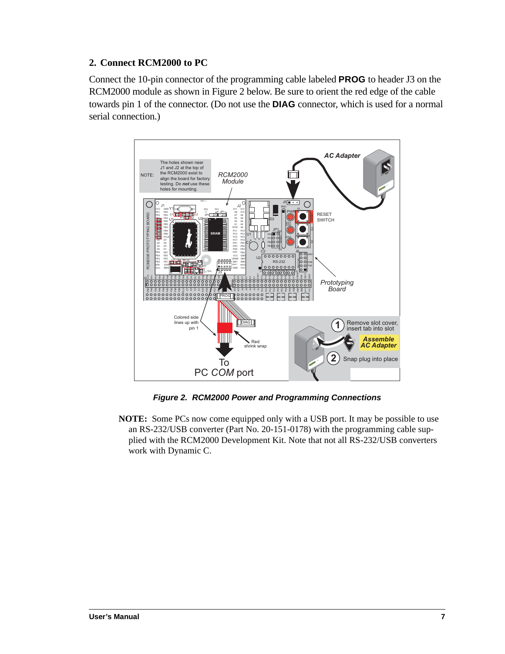#### **2. Connect RCM2000 to PC**

Connect the 10-pin connector of the programming cable labeled **PROG** to header J3 on the RCM2000 module as shown in [Figure 2](#page-10-0) below. Be sure to orient the red edge of the cable towards pin 1 of the connector. (Do not use the **DIAG** connector, which is used for a normal serial connection.)



<span id="page-10-1"></span>*Figure 2. RCM2000 Power and Programming Connections*

<span id="page-10-0"></span>**NOTE:** Some PCs now come equipped only with a USB port. It may be possible to use an RS-232/USB converter (Part No. 20-151-0178) with the programming cable supplied with the RCM2000 Development Kit. Note that not all RS-232/USB converters work with Dynamic C.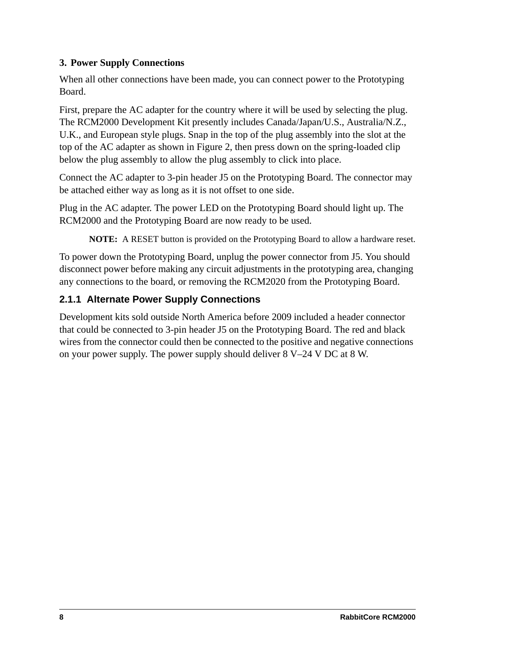#### **3. Power Supply Connections**

When all other connections have been made, you can connect power to the Prototyping Board.

First, prepare the AC adapter for the country where it will be used by selecting the plug. The RCM2000 Development Kit presently includes Canada/Japan/U.S., Australia/N.Z., U.K., and European style plugs. Snap in the top of the plug assembly into the slot at the top of the AC adapter as shown in [Figure 2,](#page-10-0) then press down on the spring-loaded clip below the plug assembly to allow the plug assembly to click into place.

Connect the AC adapter to 3-pin header J5 on the Prototyping Board. The connector may be attached either way as long as it is not offset to one side.

Plug in the AC adapter. The power LED on the Prototyping Board should light up. The RCM2000 and the Prototyping Board are now ready to be used.

**NOTE:** A RESET button is provided on the Prototyping Board to allow a hardware reset.

To power down the Prototyping Board, unplug the power connector from J5. You should disconnect power before making any circuit adjustments in the prototyping area, changing any connections to the board, or removing the RCM2020 from the Prototyping Board.

#### <span id="page-11-0"></span>**2.1.1 Alternate Power Supply Connections**

Development kits sold outside North America before 2009 included a header connector that could be connected to 3-pin header J5 on the Prototyping Board. The red and black wires from the connector could then be connected to the positive and negative connections on your power supply. The power supply should deliver 8 V–24 V DC at 8 W.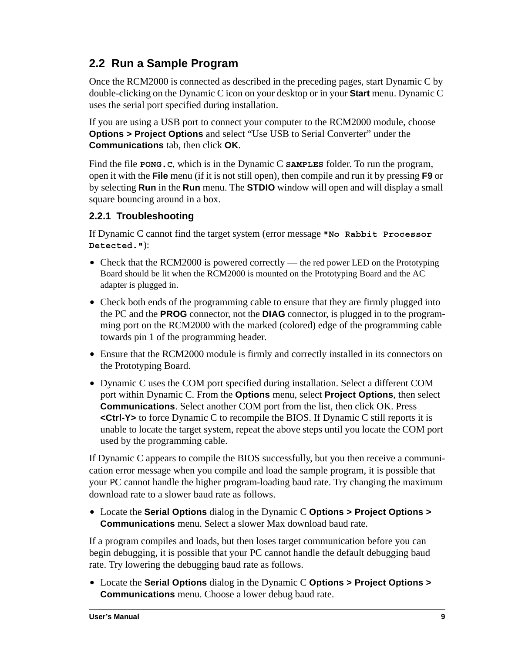# <span id="page-12-0"></span>**2.2 Run a Sample Program**

Once the RCM2000 is connected as described in the preceding pages, start Dynamic C by double-clicking on the Dynamic C icon on your desktop or in your **Start** menu. Dynamic C uses the serial port specified during installation.

If you are using a USB port to connect your computer to the RCM2000 module, choose **Options > Project Options** and select "Use USB to Serial Converter" under the **Communications** tab, then click **OK**.

Find the file **PONG.C**, which is in the Dynamic C **SAMPLES** folder. To run the program, open it with the **File** menu (if it is not still open), then compile and run it by pressing **F9** or by selecting **Run** in the **Run** menu. The **STDIO** window will open and will display a small square bouncing around in a box.

### <span id="page-12-1"></span>**2.2.1 Troubleshooting**

If Dynamic C cannot find the target system (error message **"No Rabbit Processor Detected."**):

- Check that the RCM2000 is powered correctly the red power LED on the Prototyping Board should be lit when the RCM2000 is mounted on the Prototyping Board and the AC adapter is plugged in.
- Check both ends of the programming cable to ensure that they are firmly plugged into the PC and the **PROG** connector, not the **DIAG** connector, is plugged in to the programming port on the RCM2000 with the marked (colored) edge of the programming cable towards pin 1 of the programming header.
- Ensure that the RCM2000 module is firmly and correctly installed in its connectors on the Prototyping Board.
- **•** Dynamic C uses the COM port specified during installation. Select a different COM port within Dynamic C. From the **Options** menu, select **Project Options**, then select **Communications**. Select another COM port from the list, then click OK. Press **<Ctrl-Y>** to force Dynamic C to recompile the BIOS. If Dynamic C still reports it is unable to locate the target system, repeat the above steps until you locate the COM port used by the programming cable.

If Dynamic C appears to compile the BIOS successfully, but you then receive a communication error message when you compile and load the sample program, it is possible that your PC cannot handle the higher program-loading baud rate. Try changing the maximum download rate to a slower baud rate as follows.

**•** Locate the **Serial Options** dialog in the Dynamic C **Options > Project Options > Communications** menu. Select a slower Max download baud rate.

If a program compiles and loads, but then loses target communication before you can begin debugging, it is possible that your PC cannot handle the default debugging baud rate. Try lowering the debugging baud rate as follows.

**•** Locate the **Serial Options** dialog in the Dynamic C **Options > Project Options > Communications** menu. Choose a lower debug baud rate.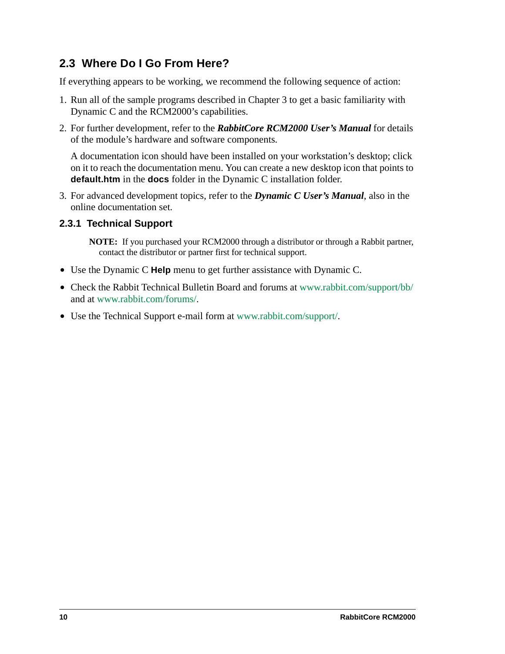# <span id="page-13-0"></span>**2.3 Where Do I Go From Here?**

If everything appears to be working, we recommend the following sequence of action:

- 1. Run all of the sample programs described in Chapter 3 to get a basic familiarity with Dynamic C and the RCM2000's capabilities.
- 2. For further development, refer to the *RabbitCore RCM2000 User's Manual* for details of the module's hardware and software components.

A documentation icon should have been installed on your workstation's desktop; click on it to reach the documentation menu. You can create a new desktop icon that points to **default.htm** in the **docs** folder in the Dynamic C installation folder.

3. For advanced development topics, refer to the *Dynamic C User's Manual*, also in the online documentation set.

#### <span id="page-13-1"></span>**2.3.1 Technical Support**

**NOTE:** If you purchased your RCM2000 through a distributor or through a Rabbit partner, contact the distributor or partner first for technical support.

- **•** Use the Dynamic C **Help** menu to get further assistance with Dynamic C.
- Check the Rabbit Technical Bulletin Board and forums at [www.rabbit.com/support/bb/](http://www.rabbit.com/support/bb/index.html) and at [www.rabbit.com/forums/](http://www.rabbitsemiconductor.com/forums/).
- **•** Use the Technical Support e-mail form at [www.rabbit.com/support/.](http://www.rabbit.com/support/questionSubmit.shtml)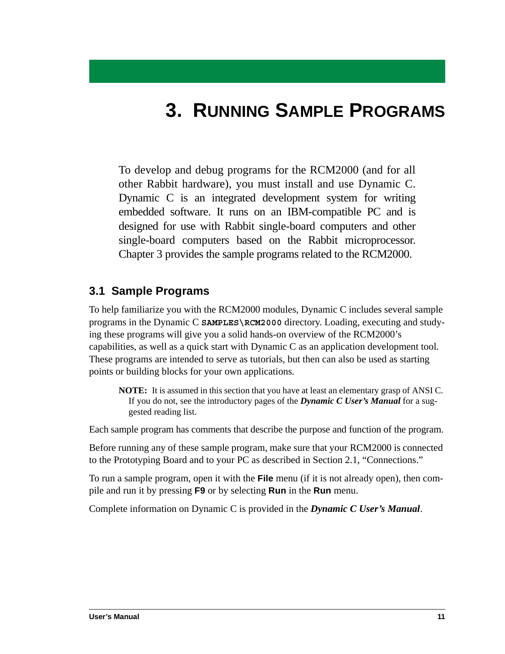# **3. RUNNING SAMPLE PROGRAMS**

<span id="page-14-0"></span>To develop and debug programs for the RCM2000 (and for all other Rabbit hardware), you must install and use Dynamic C. Dynamic C is an integrated development system for writing embedded software. It runs on an IBM-compatible PC and is designed for use with Rabbit single-board computers and other single-board computers based on the Rabbit microprocessor. Chapter 3 provides the sample programs related to the RCM2000.

### <span id="page-14-1"></span>**3.1 Sample Programs**

To help familiarize you with the RCM2000 modules, Dynamic C includes several sample programs in the Dynamic C **SAMPLES\RCM2000** directory. Loading, executing and studying these programs will give you a solid hands-on overview of the RCM2000's capabilities, as well as a quick start with Dynamic C as an application development tool. These programs are intended to serve as tutorials, but then can also be used as starting points or building blocks for your own applications.

**NOTE:** It is assumed in this section that you have at least an elementary grasp of ANSI C. If you do not, see the introductory pages of the *Dynamic C User's Manual* for a suggested reading list.

Each sample program has comments that describe the purpose and function of the program.

Before running any of these sample program, make sure that your RCM2000 is connected to the Prototyping Board and to your PC as described in [Section 2.1, "Connections."](#page-9-1)

To run a sample program, open it with the **File** menu (if it is not already open), then compile and run it by pressing **F9** or by selecting **Run** in the **Run** menu.

Complete information on Dynamic C is provided in the *Dynamic C User's Manual*.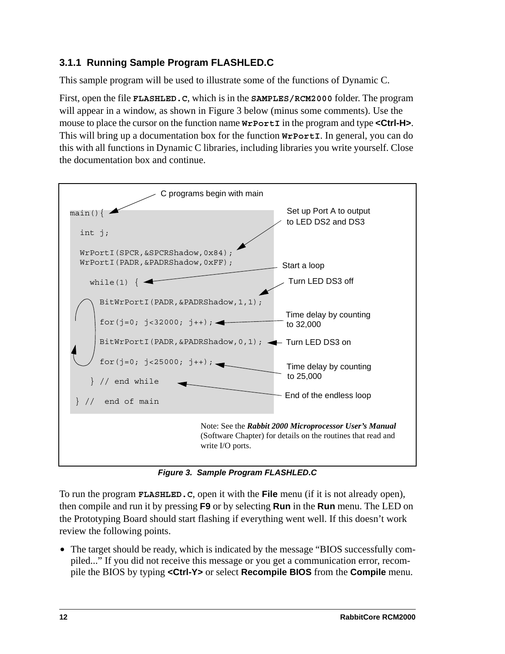### <span id="page-15-0"></span>**3.1.1 Running Sample Program FLASHLED.C**

This sample program will be used to illustrate some of the functions of Dynamic C.

First, open the file **FLASHLED.C**, which is in the **SAMPLES/RCM2000** folder. The program will appear in a window, as shown in [Figure 3](#page-15-1) below (minus some comments). Use the mouse to place the cursor on the function name  $W \text{port}$ **I** in the program and type **<Ctrl-H>**. This will bring up a documentation box for the function **WrPortI**. In general, you can do this with all functions in Dynamic C libraries, including libraries you write yourself. Close the documentation box and continue.



*Figure 3. Sample Program FLASHLED.C*

<span id="page-15-1"></span>To run the program **FLASHLED.C**, open it with the **File** menu (if it is not already open), then compile and run it by pressing **F9** or by selecting **Run** in the **Run** menu. The LED on the Prototyping Board should start flashing if everything went well. If this doesn't work review the following points.

**•** The target should be ready, which is indicated by the message "BIOS successfully compiled..." If you did not receive this message or you get a communication error, recompile the BIOS by typing **<Ctrl-Y>** or select **Recompile BIOS** from the **Compile** menu.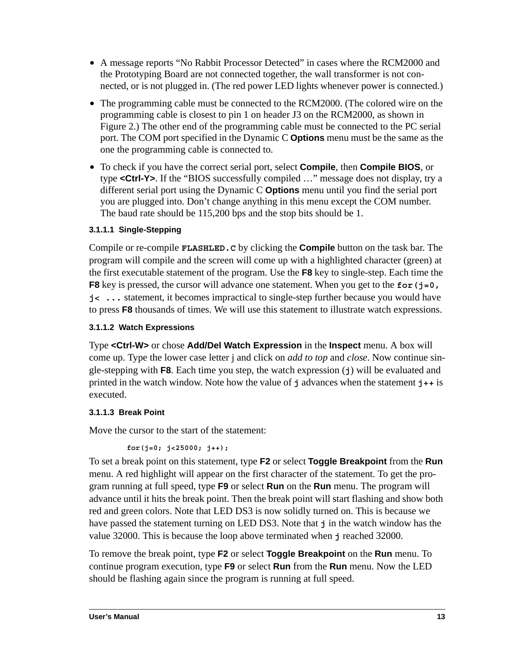- **•** A message reports "No Rabbit Processor Detected" in cases where the RCM2000 and the Prototyping Board are not connected together, the wall transformer is not connected, or is not plugged in. (The red power LED lights whenever power is connected.)
- **•** The programming cable must be connected to the RCM2000. (The colored wire on the programming cable is closest to pin 1 on header J3 on the RCM2000, as shown in [Figure 2.](#page-10-1)) The other end of the programming cable must be connected to the PC serial port. The COM port specified in the Dynamic C **Options** menu must be the same as the one the programming cable is connected to.
- **•** To check if you have the correct serial port, select **Compile**, then **Compile BIOS**, or type **<Ctrl-Y>**. If the "BIOS successfully compiled …" message does not display, try a different serial port using the Dynamic C **Options** menu until you find the serial port you are plugged into. Don't change anything in this menu except the COM number. The baud rate should be 115,200 bps and the stop bits should be 1.

#### <span id="page-16-0"></span>**3.1.1.1 Single-Stepping**

Compile or re-compile **FLASHLED.C** by clicking the **Compile** button on the task bar. The program will compile and the screen will come up with a highlighted character (green) at the first executable statement of the program. Use the **F8** key to single-step. Each time the **F8** key is pressed, the cursor will advance one statement. When you get to the **for** (**j**=0, **j< ...** statement, it becomes impractical to single-step further because you would have to press **F8** thousands of times. We will use this statement to illustrate watch expressions.

#### <span id="page-16-1"></span>**3.1.1.2 Watch Expressions**

Type **<Ctrl-W>** or chose **Add/Del Watch Expression** in the **Inspect** menu. A box will come up. Type the lower case letter j and click on *add to top* and *close*. Now continue single-stepping with **F8**. Each time you step, the watch expression (**j**) will be evaluated and printed in the watch window. Note how the value of **j** advances when the statement **j++** is executed.

#### <span id="page-16-2"></span>**3.1.1.3 Break Point**

Move the cursor to the start of the statement:

```
 for(j=0; j<25000; j++);
```
To set a break point on this statement, type **F2** or select **Toggle Breakpoint** from the **Run** menu. A red highlight will appear on the first character of the statement. To get the program running at full speed, type **F9** or select **Run** on the **Run** menu. The program will advance until it hits the break point. Then the break point will start flashing and show both red and green colors. Note that LED DS3 is now solidly turned on. This is because we have passed the statement turning on LED DS3. Note that **j** in the watch window has the value 32000. This is because the loop above terminated when **j** reached 32000.

To remove the break point, type **F2** or select **Toggle Breakpoint** on the **Run** menu. To continue program execution, type **F9** or select **Run** from the **Run** menu. Now the LED should be flashing again since the program is running at full speed.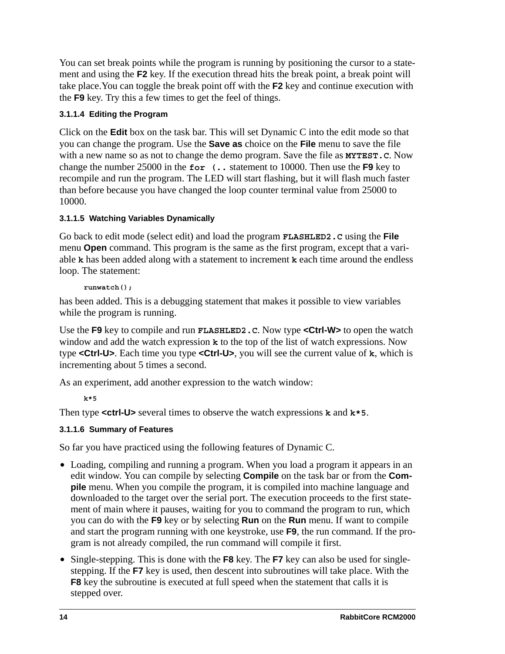You can set break points while the program is running by positioning the cursor to a statement and using the **F2** key. If the execution thread hits the break point, a break point will take place.You can toggle the break point off with the **F2** key and continue execution with the **F9** key. Try this a few times to get the feel of things.

#### <span id="page-17-0"></span>**3.1.1.4 Editing the Program**

Click on the **Edit** box on the task bar. This will set Dynamic C into the edit mode so that you can change the program. Use the **Save as** choice on the **File** menu to save the file with a new name so as not to change the demo program. Save the file as **MYTEST.C**. Now change the number 25000 in the **for (..** statement to 10000. Then use the **F9** key to recompile and run the program. The LED will start flashing, but it will flash much faster than before because you have changed the loop counter terminal value from 25000 to 10000.

#### <span id="page-17-1"></span>**3.1.1.5 Watching Variables Dynamically**

Go back to edit mode (select edit) and load the program **FLASHLED2.C** using the **File** menu **Open** command. This program is the same as the first program, except that a variable **k** has been added along with a statement to increment **k** each time around the endless loop. The statement:

**runwatch();**

has been added. This is a debugging statement that makes it possible to view variables while the program is running.

Use the **F9** key to compile and run **FLASHLED2.C**. Now type **<Ctrl-W>** to open the watch window and add the watch expression **k** to the top of the list of watch expressions. Now type **<Ctrl-U>**. Each time you type **<Ctrl-U>**, you will see the current value of **k**, which is incrementing about 5 times a second.

As an experiment, add another expression to the watch window:

**k\*5**

Then type **<ctrl-U>** several times to observe the watch expressions **k** and **k\*5**.

### <span id="page-17-2"></span>**3.1.1.6 Summary of Features**

So far you have practiced using the following features of Dynamic C.

- Loading, compiling and running a program. When you load a program it appears in an edit window. You can compile by selecting **Compile** on the task bar or from the **Compile** menu. When you compile the program, it is compiled into machine language and downloaded to the target over the serial port. The execution proceeds to the first statement of main where it pauses, waiting for you to command the program to run, which you can do with the **F9** key or by selecting **Run** on the **Run** menu. If want to compile and start the program running with one keystroke, use **F9**, the run command. If the program is not already compiled, the run command will compile it first.
- **•** Single-stepping. This is done with the **F8** key. The **F7** key can also be used for singlestepping. If the **F7** key is used, then descent into subroutines will take place. With the **F8** key the subroutine is executed at full speed when the statement that calls it is stepped over.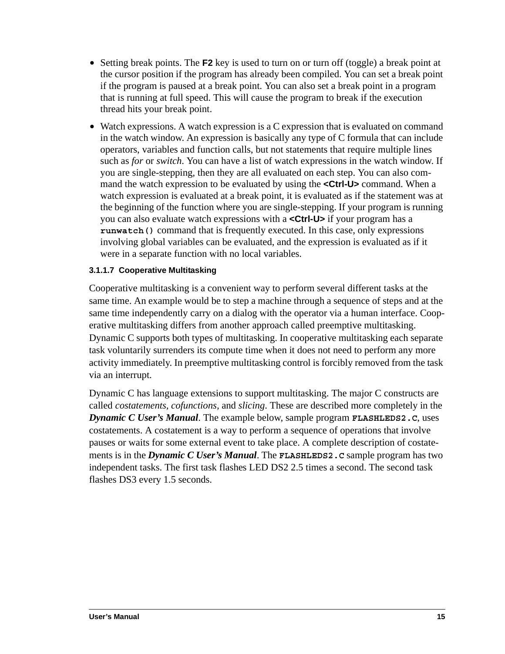- Setting break points. The **F2** key is used to turn on or turn off (toggle) a break point at the cursor position if the program has already been compiled. You can set a break point if the program is paused at a break point. You can also set a break point in a program that is running at full speed. This will cause the program to break if the execution thread hits your break point.
- Watch expressions. A watch expression is a C expression that is evaluated on command in the watch window. An expression is basically any type of C formula that can include operators, variables and function calls, but not statements that require multiple lines such as *for* or *switch*. You can have a list of watch expressions in the watch window. If you are single-stepping, then they are all evaluated on each step. You can also command the watch expression to be evaluated by using the **<Ctrl-U>** command. When a watch expression is evaluated at a break point, it is evaluated as if the statement was at the beginning of the function where you are single-stepping. If your program is running you can also evaluate watch expressions with a **<Ctrl-U>** if your program has a **runwatch()** command that is frequently executed. In this case, only expressions involving global variables can be evaluated, and the expression is evaluated as if it were in a separate function with no local variables.

#### <span id="page-18-0"></span>**3.1.1.7 Cooperative Multitasking**

Cooperative multitasking is a convenient way to perform several different tasks at the same time. An example would be to step a machine through a sequence of steps and at the same time independently carry on a dialog with the operator via a human interface. Cooperative multitasking differs from another approach called preemptive multitasking. Dynamic C supports both types of multitasking. In cooperative multitasking each separate task voluntarily surrenders its compute time when it does not need to perform any more activity immediately. In preemptive multitasking control is forcibly removed from the task via an interrupt.

Dynamic C has language extensions to support multitasking. The major C constructs are called *costatements, cofunctions,* and *slicing*. These are described more completely in the *Dynamic C User's Manual*. The example below, sample program **FLASHLEDS2.C**, uses costatements. A costatement is a way to perform a sequence of operations that involve pauses or waits for some external event to take place. A complete description of costatements is in the *Dynamic C User's Manual*. The **FLASHLEDS2.C** sample program has two independent tasks. The first task flashes LED DS2 2.5 times a second. The second task flashes DS3 every 1.5 seconds.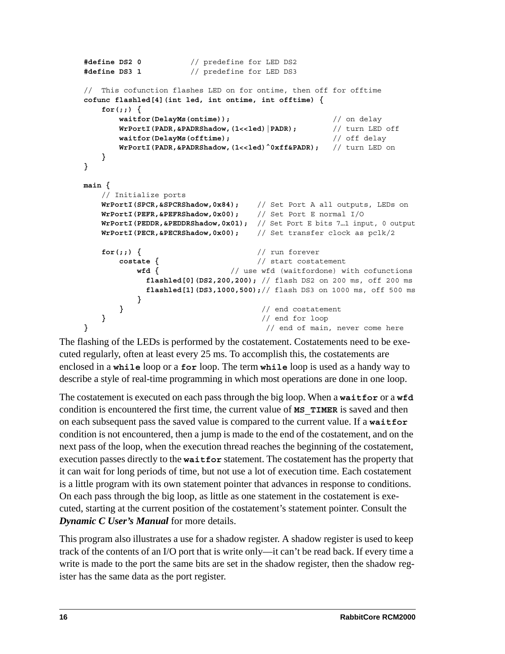```
#define DS2 0 // predefine for LED DS2
#define DS3 1 // predefine for LED DS3
// This cofunction flashes LED on for ontime, then off for offtime
cofunc flashled[4](int led, int ontime, int offtime) {
   for(;;) {
      waitfor(DelayMs(ontime)); // on delay
      WrPortI(PADR,&PADRShadow,(1<<led)|PADR); // turn LED off
      waitfor(DelayMs(offtime); // off delay
      WrPortI(PADR, &PADRShadow, (1<<led) ^0xff&PADR); // turn LED on
   }
}
main {
   // Initialize ports
   WrPortI(SPCR,&SPCRShadow,0x84); // Set Port A all outputs, LEDs on
    WrPortI(PEFR,&PEFRShadow,0x00); // Set Port E normal I/O
   WrPortI(PEDDR,&PEDDRShadow,0x01); // Set Port E bits 7…1 input, 0 output
   WrPortI(PECR,&PECRShadow,0x00); // Set transfer clock as pclk/2
   for(;;) { // run forever
      costate { // start costatement
         wfd { // use wfd (waitfordone) with cofunctions
           flashled[0](DS2,200,200); // flash DS2 on 200 ms, off 200 ms
           flashled[1](DS3,1000,500);// flash DS3 on 1000 ms, off 500 ms
         }
      } // end costatement
   } // end for loop
} // end of main, never come here
```
The flashing of the LEDs is performed by the costatement. Costatements need to be executed regularly, often at least every 25 ms. To accomplish this, the costatements are enclosed in a **while** loop or a **for** loop. The term **while** loop is used as a handy way to describe a style of real-time programming in which most operations are done in one loop.

The costatement is executed on each pass through the big loop. When a **waitfor** or a **wfd** condition is encountered the first time, the current value of **MS\_TIMER** is saved and then on each subsequent pass the saved value is compared to the current value. If a **waitfor** condition is not encountered, then a jump is made to the end of the costatement, and on the next pass of the loop, when the execution thread reaches the beginning of the costatement, execution passes directly to the **waitfor** statement. The costatement has the property that it can wait for long periods of time, but not use a lot of execution time. Each costatement is a little program with its own statement pointer that advances in response to conditions. On each pass through the big loop, as little as one statement in the costatement is executed, starting at the current position of the costatement's statement pointer. Consult the *Dynamic C User's Manual* for more details.

This program also illustrates a use for a shadow register. A shadow register is used to keep track of the contents of an I/O port that is write only—it can't be read back. If every time a write is made to the port the same bits are set in the shadow register, then the shadow register has the same data as the port register.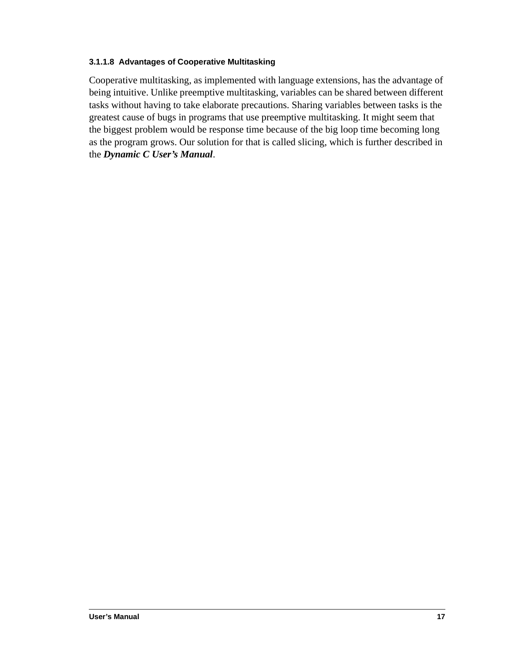#### <span id="page-20-0"></span>**3.1.1.8 Advantages of Cooperative Multitasking**

Cooperative multitasking, as implemented with language extensions, has the advantage of being intuitive. Unlike preemptive multitasking, variables can be shared between different tasks without having to take elaborate precautions. Sharing variables between tasks is the greatest cause of bugs in programs that use preemptive multitasking. It might seem that the biggest problem would be response time because of the big loop time becoming long as the program grows. Our solution for that is called slicing, which is further described in the *Dynamic C User's Manual*.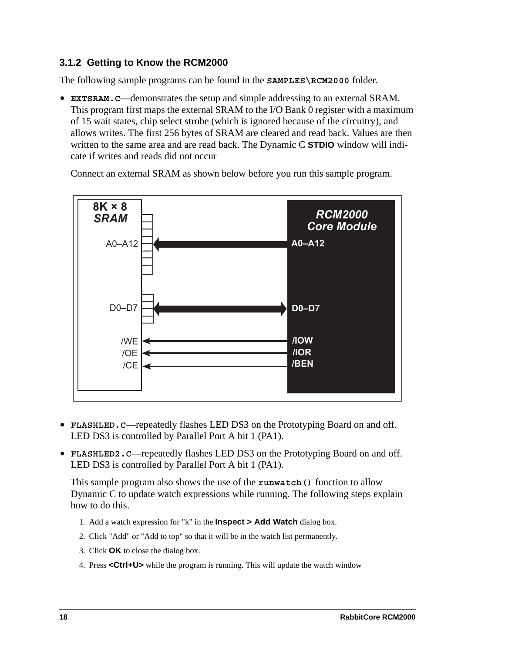#### <span id="page-21-0"></span>**3.1.2 Getting to Know the RCM2000**

The following sample programs can be found in the **SAMPLES\RCM2000** folder.

**• EXTSRAM.C**—demonstrates the setup and simple addressing to an external SRAM. This program first maps the external SRAM to the I/O Bank 0 register with a maximum of 15 wait states, chip select strobe (which is ignored because of the circuitry), and allows writes. The first 256 bytes of SRAM are cleared and read back. Values are then written to the same area and are read back. The Dynamic C **STDIO** window will indicate if writes and reads did not occur

Connect an external SRAM as shown below before you run this sample program.



- **• FLASHLED.C**—repeatedly flashes LED DS3 on the Prototyping Board on and off. LED DS3 is controlled by Parallel Port A bit 1 (PA1).
- **• FLASHLED2.C**—repeatedly flashes LED DS3 on the Prototyping Board on and off. LED DS3 is controlled by Parallel Port A bit 1 (PA1).

This sample program also shows the use of the **runwatch()** function to allow Dynamic C to update watch expressions while running. The following steps explain how to do this.

- 1. Add a watch expression for "k" in the **Inspect > Add Watch** dialog box.
- 2. Click "Add" or "Add to top" so that it will be in the watch list permanently.
- 3. Click **OK** to close the dialog box.
- 4. Press **<Ctrl+U>** while the program is running. This will update the watch window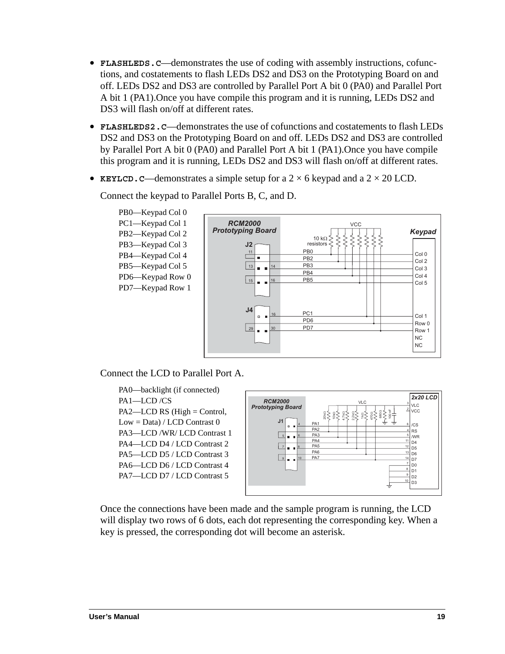- **• FLASHLEDS.C**—demonstrates the use of coding with assembly instructions, cofunctions, and costatements to flash LEDs DS2 and DS3 on the Prototyping Board on and off. LEDs DS2 and DS3 are controlled by Parallel Port A bit 0 (PA0) and Parallel Port A bit 1 (PA1).Once you have compile this program and it is running, LEDs DS2 and DS3 will flash on/off at different rates.
- **• FLASHLEDS2.C**—demonstrates the use of cofunctions and costatements to flash LEDs DS2 and DS3 on the Prototyping Board on and off. LEDs DS2 and DS3 are controlled by Parallel Port A bit 0 (PA0) and Parallel Port A bit 1 (PA1).Once you have compile this program and it is running, LEDs DS2 and DS3 will flash on/off at different rates.
- **KEYLCD. C—demonstrates a simple setup for a**  $2 \times 6$  **keypad and a**  $2 \times 20$  **LCD.**



Connect the keypad to Parallel Ports B, C, and D.

Connect the LCD to Parallel Port A.





Once the connections have been made and the sample program is running, the LCD will display two rows of 6 dots, each dot representing the corresponding key. When a key is pressed, the corresponding dot will become an asterisk.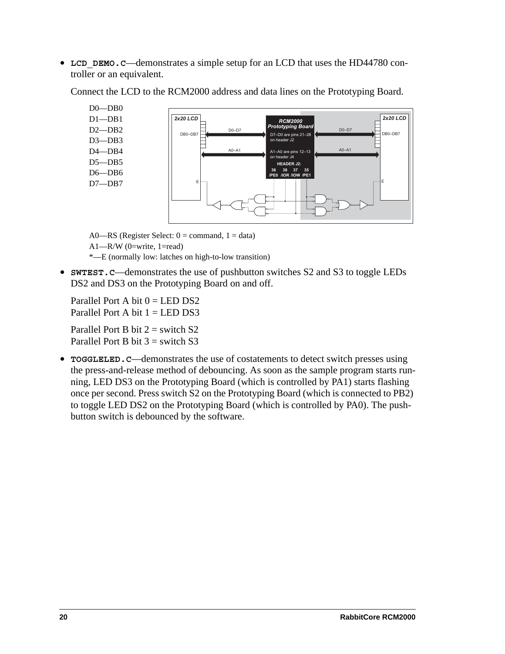• **LCD** DEMO.C—demonstrates a simple setup for an LCD that uses the HD44780 controller or an equivalent.

D0—DB0 D1—DB1 D2—DB2 D3—DB3 D4—DB4 D5—DB5 D6—DB6 D7—DB7  *- -*   $2x20$  LCD E  $DB0-DB7$   $\overline{D}$   $\overline{D}$   $\overline{D}$   $\overline{D}$   $\overline{D}$   $\overline{D}$   $\overline{D}$   $\overline{D}$   $\overline{D}$   $\overline{D}$   $\overline{D}$   $\overline{D}$   $\overline{D}$   $\overline{D}$   $\overline{D}$   $\overline{D}$   $\overline{D}$   $\overline{D}$   $\overline{D}$   $\overline{D}$   $\overline{D}$   $\overline{D}$   $\overline{D}$   $\overline{D$ 36  /IOR 37 /IOW  $2x20$  LCD E  $\overline{D0-D7}$   $\overline{D80-DB7}$ 35  D7–D0 are pins 21–2<br>on header J2 **HEADER J2:** A0-A1 A1-A0 are pins 12-13 on header J4

Connect the LCD to the RCM2000 address and data lines on the Prototyping Board.

A0—RS (Register Select:  $0 =$  command,  $1 =$  data)

A1—R/W (0=write, 1=read)

\*—E (normally low: latches on high-to-low transition)

• **SWTEST. C—demonstrates the use of pushbutton switches S2 and S3 to toggle LEDs** DS2 and DS3 on the Prototyping Board on and off.

Parallel Port A bit  $0 = LED$  DS2 Parallel Port A bit  $1 = LEDDS3$ 

Parallel Port B bit  $2 =$  switch S2 Parallel Port B bit  $3 =$  switch S3

**• TOGGLELED.C**—demonstrates the use of costatements to detect switch presses using the press-and-release method of debouncing. As soon as the sample program starts running, LED DS3 on the Prototyping Board (which is controlled by PA1) starts flashing once per second. Press switch S2 on the Prototyping Board (which is connected to PB2) to toggle LED DS2 on the Prototyping Board (which is controlled by PA0). The pushbutton switch is debounced by the software.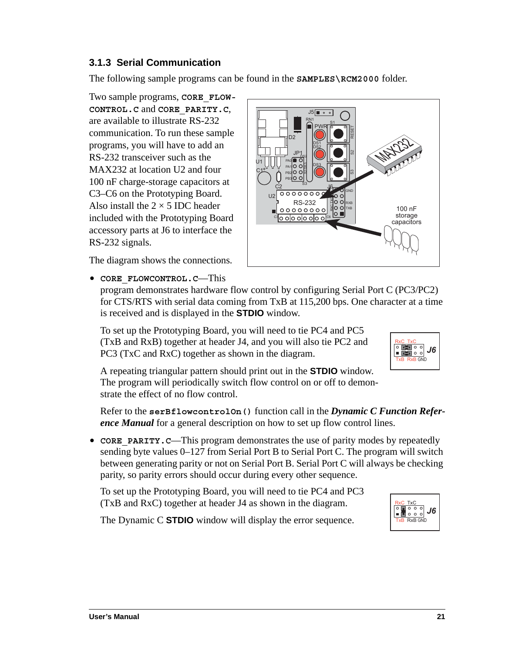**User's Manual 21**

# <span id="page-24-0"></span>**3.1.3 Serial Communication**

The following sample programs can be found in the **SAMPLES\RCM2000** folder.

C1<sup>+</sup> U1

> $C<sub>2</sub>$  $U<sub>2</sub>$

> > C3

 $.15 \sqrt{m}$ 

D<sub>2</sub>

PB3 PB<sub>2</sub> PA1 PA0

JP1

 -

S<sub>3</sub>

RS-232  $000000000$ 

DS3

DŞ2

o o|o o|o o|o o

 $\overline{\bigcirc}_{\hspace{0.3cm}\dots\hspace{0.3cm}\dots\hspace{0.3cm}}^{\R N1}$ 

**PWR** 

D<u>S3</u>

**J**6

#  $_{\rm x}^{\rm o}$ 

lo ∎

C6

D<sub>S2</sub> DS1

 -

RESET

က္ကိ

GND RXB TXB

Two sample programs, **CORE\_FLOW-CONTROL.C** and **CORE\_PARITY.C**, are available to illustrate RS-232 communication. To run these sample programs, you will have to add an RS-232 transceiver such as the MAX232 at location U2 and four 100 nF charge-storage capacitors at C3–C6 on the Prototyping Board. Also install the  $2 \times 5$  IDC header included with the Prototyping Board accessory parts at J6 to interface the RS-232 signals.

The diagram shows the connections.

#### **• CORE\_FLOWCONTROL.C**—This

program demonstrates hardware flow control by configuring Serial Port C (PC3/PC2) for CTS/RTS with serial data coming from TxB at 115,200 bps. One character at a time is received and is displayed in the **STDIO** window.

To set up the Prototyping Board, you will need to tie PC4 and PC5 (TxB and RxB) together at header J4, and you will also tie PC2 and PC3 (TxC and RxC) together as shown in the diagram.

A repeating triangular pattern should print out in the **STDIO** window. The program will periodically switch flow control on or off to demonstrate the effect of no flow control.

Refer to the **serBflowcontrolOn()** function call in the *Dynamic C Function Reference Manual* for a general description on how to set up flow control lines.

• **CORE** PARITY.C—This program demonstrates the use of parity modes by repeatedly sending byte values 0–127 from Serial Port B to Serial Port C. The program will switch between generating parity or not on Serial Port B. Serial Port C will always be checking parity, so parity errors should occur during every other sequence.

To set up the Prototyping Board, you will need to tie PC4 and PC3 (TxB and RxC) together at header J4 as shown in the diagram.

The Dynamic C **STDIO** window will display the error sequence.



14

1232

100 nF storage capacitors





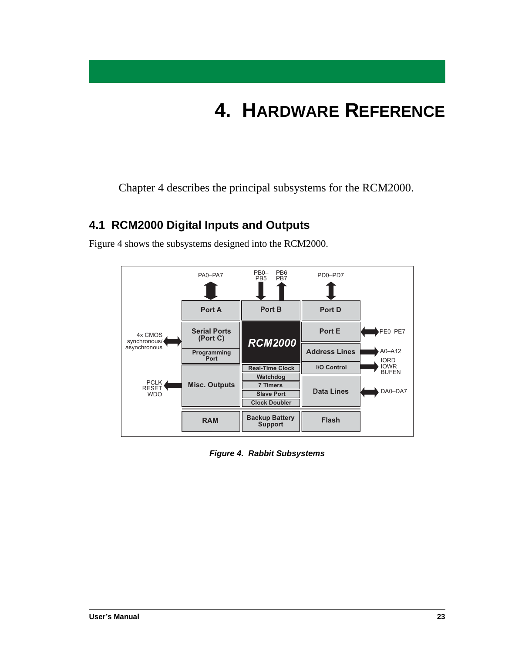# **4. HARDWARE REFERENCE**

<span id="page-26-0"></span>Chapter 4 describes the principal subsystems for the RCM2000.

# <span id="page-26-1"></span>**4.1 RCM2000 Digital Inputs and Outputs**



[Figure 4](#page-26-2) shows the subsystems designed into the RCM2000.

<span id="page-26-2"></span>*Figure 4. Rabbit Subsystems*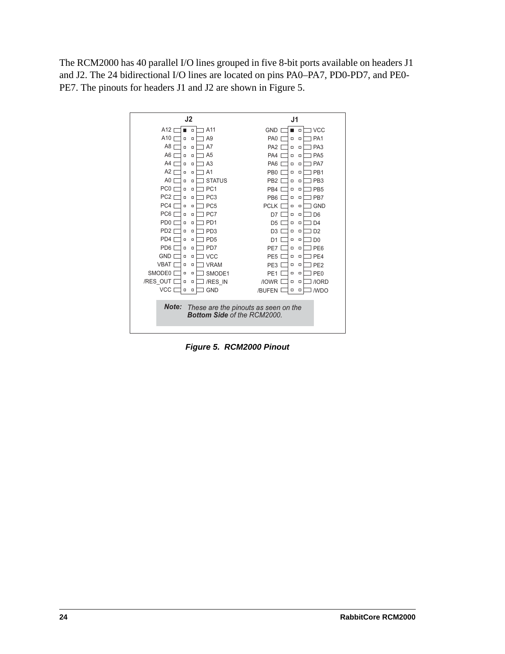The RCM2000 has 40 parallel I/O lines grouped in five 8-bit ports available on headers J1 and J2. The 24 bidirectional I/O lines are located on pins PA0–PA7, PD0-PD7, and PE0- PE7. The pinouts for headers J1 and J2 are shown in [Figure 5.](#page-27-0)



<span id="page-27-0"></span>*Figure 5. RCM2000 Pinout*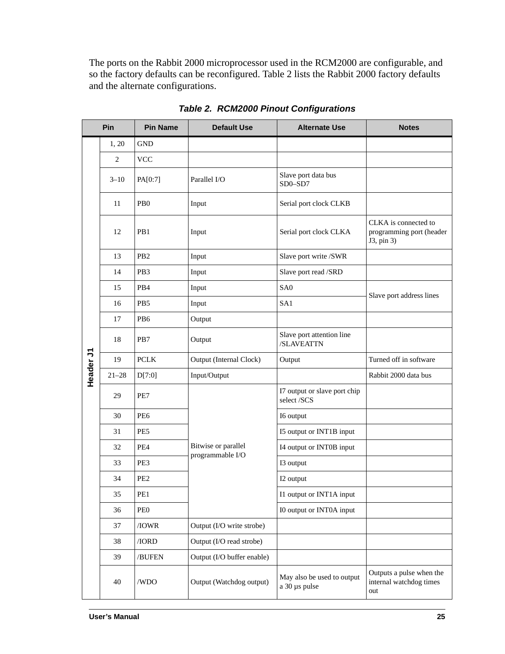The ports on the Rabbit 2000 microprocessor used in the RCM2000 are configurable, and so the factory defaults can be reconfigured. [Table 2](#page-28-0) lists the Rabbit 2000 factory defaults and the alternate configurations.

<span id="page-28-0"></span>

|                  | Pin            | <b>Pin Name</b>  | <b>Default Use</b>         | <b>Alternate Use</b>                        | <b>Notes</b>                                                   |
|------------------|----------------|------------------|----------------------------|---------------------------------------------|----------------------------------------------------------------|
|                  | 1, 20          | <b>GND</b>       |                            |                                             |                                                                |
|                  | $\overline{c}$ | <b>VCC</b>       |                            |                                             |                                                                |
|                  | $3 - 10$       | PA[0:7]          | Parallel I/O               | Slave port data bus<br>$SD0 - SD7$          |                                                                |
|                  | 11             | P <sub>B</sub> 0 | Input                      | Serial port clock CLKB                      |                                                                |
|                  | 12             | PB1              | Input                      | Serial port clock CLKA                      | CLKA is connected to<br>programming port (header<br>J3, pin 3) |
|                  | 13             | P <sub>B</sub> 2 | Input                      | Slave port write /SWR                       |                                                                |
|                  | 14             | PB3              | Input                      | Slave port read /SRD                        |                                                                |
|                  | 15             | PB4              | Input                      | SA <sub>0</sub>                             | Slave port address lines                                       |
|                  | 16             | PB <sub>5</sub>  | Input                      | SA1                                         |                                                                |
| <b>トeader JT</b> | 17             | PB <sub>6</sub>  | Output                     |                                             |                                                                |
|                  | 18             | PB7              | Output                     | Slave port attention line<br>/SLAVEATTN     |                                                                |
|                  | 19             | <b>PCLK</b>      | Output (Internal Clock)    | Output                                      | Turned off in software                                         |
|                  | $21 - 28$      | D[7:0]           | Input/Output               |                                             | Rabbit 2000 data bus                                           |
|                  | 29             | PE7              |                            | I7 output or slave port chip<br>select /SCS |                                                                |
|                  | 30             | PE <sub>6</sub>  |                            | I6 output                                   |                                                                |
|                  | 31             | PE5              |                            | I5 output or INT1B input                    |                                                                |
|                  | 32             | PE <sub>4</sub>  | Bitwise or parallel        | I4 output or INT0B input                    |                                                                |
|                  | 33             | PE3              | programmable I/O           | I3 output                                   |                                                                |
|                  | 34             | PE <sub>2</sub>  |                            | I2 output                                   |                                                                |
|                  | 35             | PE1              |                            | I1 output or INT1A input                    |                                                                |
|                  | 36             | PE <sub>0</sub>  |                            | I0 output or INT0A input                    |                                                                |
|                  | 37             | /IOWR            | Output (I/O write strobe)  |                                             |                                                                |
|                  | 38             | / <b>IORD</b>    | Output (I/O read strobe)   |                                             |                                                                |
|                  | 39             | /BUFEN           | Output (I/O buffer enable) |                                             |                                                                |
|                  | 40             | /WDO             | Output (Watchdog output)   | May also be used to output<br>a 30 µs pulse | Outputs a pulse when the<br>internal watchdog times<br>out     |

*Table 2. RCM2000 Pinout Configurations*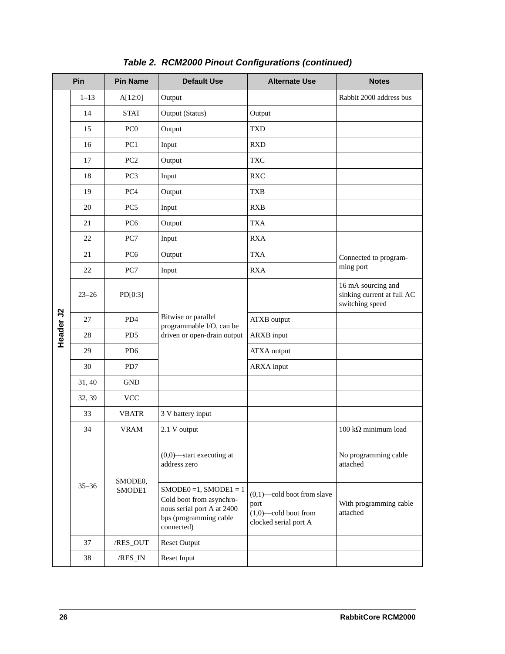|           | Pin       | <b>Pin Name</b>   | <b>Default Use</b>                                                                                                            | <b>Alternate Use</b>                                                                      | <b>Notes</b>                                                        |
|-----------|-----------|-------------------|-------------------------------------------------------------------------------------------------------------------------------|-------------------------------------------------------------------------------------------|---------------------------------------------------------------------|
|           | $1 - 13$  | A[12:0]           | Output                                                                                                                        |                                                                                           | Rabbit 2000 address bus                                             |
|           | 14        | <b>STAT</b>       | Output (Status)                                                                                                               | Output                                                                                    |                                                                     |
|           | 15        | PC <sub>0</sub>   | Output                                                                                                                        | <b>TXD</b>                                                                                |                                                                     |
|           | 16        | PC1               | Input                                                                                                                         | <b>RXD</b>                                                                                |                                                                     |
|           | 17        | PC <sub>2</sub>   | Output                                                                                                                        | <b>TXC</b>                                                                                |                                                                     |
|           | 18        | PC3               | Input                                                                                                                         | <b>RXC</b>                                                                                |                                                                     |
|           | 19        | PC4               | Output                                                                                                                        | <b>TXB</b>                                                                                |                                                                     |
|           | 20        | PC <sub>5</sub>   | Input                                                                                                                         | <b>RXB</b>                                                                                |                                                                     |
|           | 21        | PC <sub>6</sub>   | Output                                                                                                                        | <b>TXA</b>                                                                                |                                                                     |
|           | 22        | PC7<br>Input      |                                                                                                                               | <b>RXA</b>                                                                                |                                                                     |
|           | 21        | PC <sub>6</sub>   | Output                                                                                                                        | <b>TXA</b>                                                                                | Connected to program-                                               |
|           | 22        | PC7               | Input                                                                                                                         | <b>RXA</b>                                                                                | ming port                                                           |
|           | $23 - 26$ | PD[0:3]           |                                                                                                                               |                                                                                           | 16 mA sourcing and<br>sinking current at full AC<br>switching speed |
|           | 27        | PD4               | Bitwise or parallel<br>programmable I/O, can be                                                                               | <b>ATXB</b> output                                                                        |                                                                     |
| Header J2 | 28        | PD <sub>5</sub>   | driven or open-drain output                                                                                                   | <b>ARXB</b> input                                                                         |                                                                     |
|           | 29        | PD <sub>6</sub>   |                                                                                                                               | <b>ATXA</b> output                                                                        |                                                                     |
|           | 30        | PD7               |                                                                                                                               | <b>ARXA</b> input                                                                         |                                                                     |
|           | 31, 40    | <b>GND</b>        |                                                                                                                               |                                                                                           |                                                                     |
|           | 32, 39    | <b>VCC</b>        |                                                                                                                               |                                                                                           |                                                                     |
|           | 33        | <b>VBATR</b>      | 3 V battery input                                                                                                             |                                                                                           |                                                                     |
|           | 34        | <b>VRAM</b>       | 2.1 V output                                                                                                                  |                                                                                           | 100 k $\Omega$ minimum load                                         |
|           |           |                   | $(0,0)$ —start executing at<br>address zero                                                                                   |                                                                                           | No programming cable<br>attached                                    |
|           | $35 - 36$ | SMODE0,<br>SMODE1 | $SMODE0 = 1$ , $SMODE1 = 1$<br>Cold boot from asynchro-<br>nous serial port A at 2400<br>bps (programming cable<br>connected) | $(0,1)$ —cold boot from slave<br>port<br>$(1,0)$ —cold boot from<br>clocked serial port A | With programming cable<br>attached                                  |
|           | 37        | /RES_OUT          | <b>Reset Output</b>                                                                                                           |                                                                                           |                                                                     |
|           | 38        | /RES_IN           | Reset Input                                                                                                                   |                                                                                           |                                                                     |
| 26        |           |                   |                                                                                                                               |                                                                                           | RabbitCore RCM2000                                                  |

# *Table 2. RCM2000 Pinout Configurations (continued)*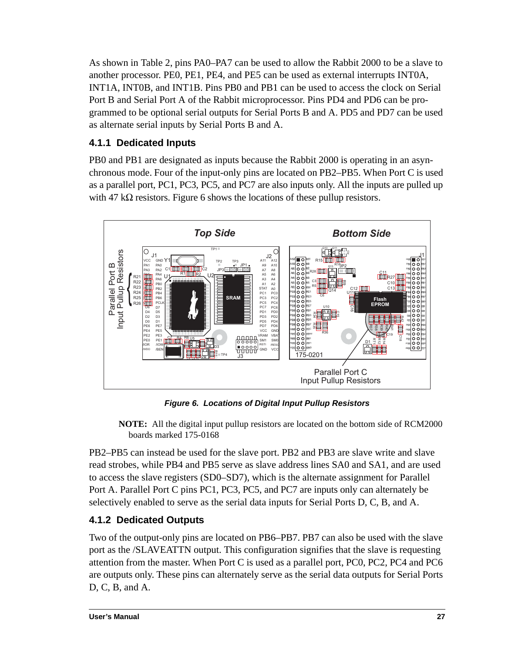As shown in [Table 2](#page-28-0), pins PA0–PA7 can be used to allow the Rabbit 2000 to be a slave to another processor. PE0, PE1, PE4, and PE5 can be used as external interrupts INT0A, INT1A, INT0B, and INT1B. Pins PB0 and PB1 can be used to access the clock on Serial Port B and Serial Port A of the Rabbit microprocessor. Pins PD4 and PD6 can be programmed to be optional serial outputs for Serial Ports B and A. PD5 and PD7 can be used as alternate serial inputs by Serial Ports B and A.

## <span id="page-30-0"></span>**4.1.1 Dedicated Inputs**

PB0 and PB1 are designated as inputs because the Rabbit 2000 is operating in an asynchronous mode. Four of the input-only pins are located on PB2–PB5. When Port C is used as a parallel port, PC1, PC3, PC5, and PC7 are also inputs only. All the inputs are pulled up with 47 k $\Omega$  resistors. [Figure 6](#page-30-2) shows the locations of these pullup resistors.



*Figure 6. Locations of Digital Input Pullup Resistors*

<span id="page-30-2"></span>**NOTE:** All the digital input pullup resistors are located on the bottom side of RCM2000 boards marked 175-0168

PB2–PB5 can instead be used for the slave port. PB2 and PB3 are slave write and slave read strobes, while PB4 and PB5 serve as slave address lines SA0 and SA1, and are used to access the slave registers (SD0–SD7), which is the alternate assignment for Parallel Port A. Parallel Port C pins PC1, PC3, PC5, and PC7 are inputs only can alternately be selectively enabled to serve as the serial data inputs for Serial Ports D, C, B, and A.

# <span id="page-30-1"></span>**4.1.2 Dedicated Outputs**

Two of the output-only pins are located on PB6–PB7. PB7 can also be used with the slave port as the /SLAVEATTN output. This configuration signifies that the slave is requesting attention from the master. When Port C is used as a parallel port, PC0, PC2, PC4 and PC6 are outputs only. These pins can alternately serve as the serial data outputs for Serial Ports D, C, B, and A.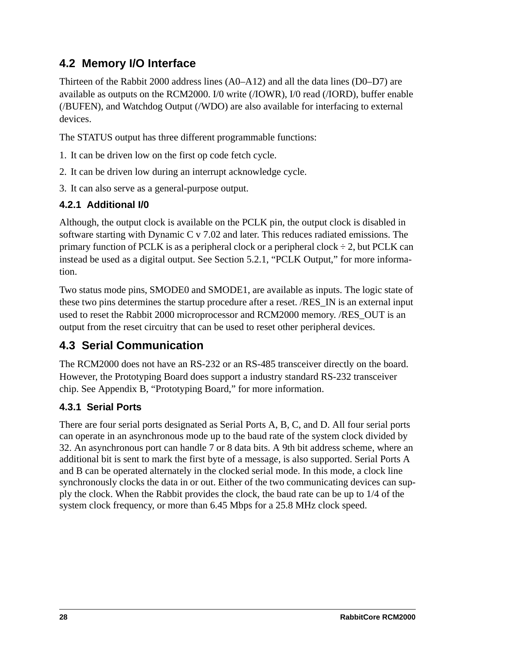# <span id="page-31-0"></span>**4.2 Memory I/O Interface**

Thirteen of the Rabbit 2000 address lines (A0–A12) and all the data lines (D0–D7) are available as outputs on the RCM2000. I/0 write (/IOWR), I/0 read (/IORD), buffer enable (/BUFEN), and Watchdog Output (/WDO) are also available for interfacing to external devices.

The STATUS output has three different programmable functions:

- 1. It can be driven low on the first op code fetch cycle.
- 2. It can be driven low during an interrupt acknowledge cycle.
- 3. It can also serve as a general-purpose output.

#### <span id="page-31-1"></span>**4.2.1 Additional I/0**

Although, the output clock is available on the PCLK pin, the output clock is disabled in software starting with Dynamic C v 7.02 and later. This reduces radiated emissions. The primary function of PCLK is as a peripheral clock or a peripheral clock  $\div$  2, but PCLK can instead be used as a digital output. See [Section 5.2.1, "PCLK Output,"](#page-41-2) for more information.

Two status mode pins, SMODE0 and SMODE1, are available as inputs. The logic state of these two pins determines the startup procedure after a reset. /RES\_IN is an external input used to reset the Rabbit 2000 microprocessor and RCM2000 memory. /RES\_OUT is an output from the reset circuitry that can be used to reset other peripheral devices.

# <span id="page-31-2"></span>**4.3 Serial Communication**

The RCM2000 does not have an RS-232 or an RS-485 transceiver directly on the board. However, the Prototyping Board does support a industry standard RS-232 transceiver chip. See [Appendix B, "Prototyping Board,"](#page-56-1) for more information.

#### <span id="page-31-3"></span>**4.3.1 Serial Ports**

There are four serial ports designated as Serial Ports A, B, C, and D. All four serial ports can operate in an asynchronous mode up to the baud rate of the system clock divided by 32. An asynchronous port can handle 7 or 8 data bits. A 9th bit address scheme, where an additional bit is sent to mark the first byte of a message, is also supported. Serial Ports A and B can be operated alternately in the clocked serial mode. In this mode, a clock line synchronously clocks the data in or out. Either of the two communicating devices can supply the clock. When the Rabbit provides the clock, the baud rate can be up to 1/4 of the system clock frequency, or more than 6.45 Mbps for a 25.8 MHz clock speed.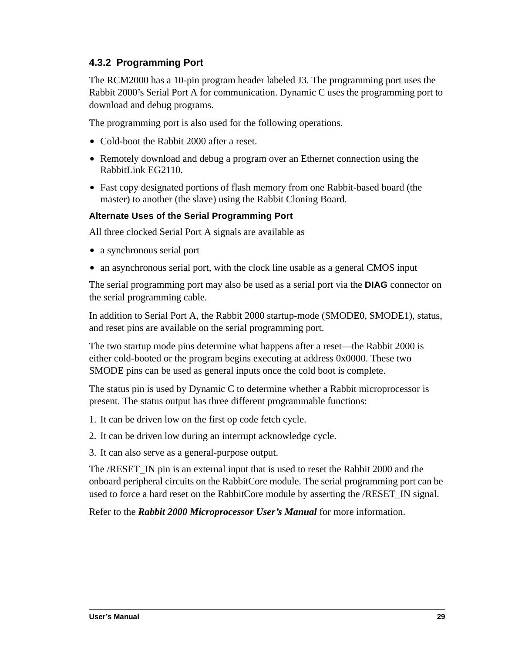#### <span id="page-32-0"></span>**4.3.2 Programming Port**

The RCM2000 has a 10-pin program header labeled J3. The programming port uses the Rabbit 2000's Serial Port A for communication. Dynamic C uses the programming port to download and debug programs.

The programming port is also used for the following operations.

- Cold-boot the Rabbit 2000 after a reset.
- **•** Remotely download and debug a program over an Ethernet connection using the RabbitLink EG2110.
- **•** Fast copy designated portions of flash memory from one Rabbit-based board (the master) to another (the slave) using the Rabbit Cloning Board.

#### **Alternate Uses of the Serial Programming Port**

All three clocked Serial Port A signals are available as

- a synchronous serial port
- an asynchronous serial port, with the clock line usable as a general CMOS input

The serial programming port may also be used as a serial port via the **DIAG** connector on the serial programming cable.

In addition to Serial Port A, the Rabbit 2000 startup-mode (SMODE0, SMODE1), status, and reset pins are available on the serial programming port.

The two startup mode pins determine what happens after a reset—the Rabbit 2000 is either cold-booted or the program begins executing at address 0x0000. These two SMODE pins can be used as general inputs once the cold boot is complete.

The status pin is used by Dynamic C to determine whether a Rabbit microprocessor is present. The status output has three different programmable functions:

- 1. It can be driven low on the first op code fetch cycle.
- 2. It can be driven low during an interrupt acknowledge cycle.
- 3. It can also serve as a general-purpose output.

The /RESET\_IN pin is an external input that is used to reset the Rabbit 2000 and the onboard peripheral circuits on the RabbitCore module. The serial programming port can be used to force a hard reset on the RabbitCore module by asserting the /RESET\_IN signal.

Refer to the *Rabbit 2000 Microprocessor User's Manual* for more information.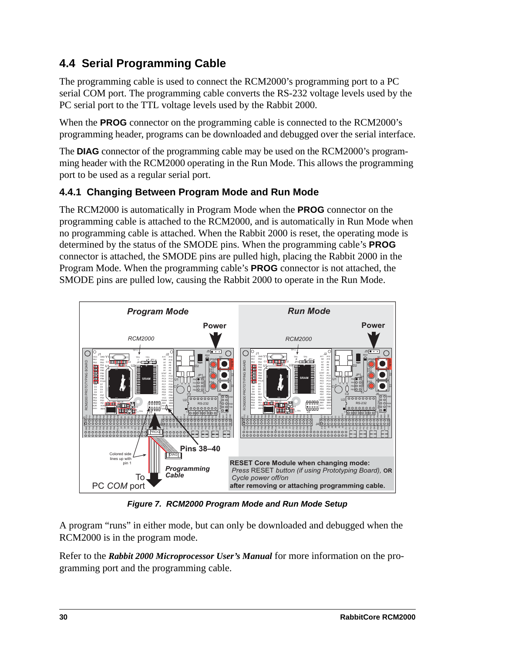# <span id="page-33-0"></span>**4.4 Serial Programming Cable**

The programming cable is used to connect the RCM2000's programming port to a PC serial COM port. The programming cable converts the RS-232 voltage levels used by the PC serial port to the TTL voltage levels used by the Rabbit 2000.

When the **PROG** connector on the programming cable is connected to the RCM2000's programming header, programs can be downloaded and debugged over the serial interface.

The **DIAG** connector of the programming cable may be used on the RCM2000's programming header with the RCM2000 operating in the Run Mode. This allows the programming port to be used as a regular serial port.

### <span id="page-33-1"></span>**4.4.1 Changing Between Program Mode and Run Mode**

The RCM2000 is automatically in Program Mode when the **PROG** connector on the programming cable is attached to the RCM2000, and is automatically in Run Mode when no programming cable is attached. When the Rabbit 2000 is reset, the operating mode is determined by the status of the SMODE pins. When the programming cable's **PROG** connector is attached, the SMODE pins are pulled high, placing the Rabbit 2000 in the Program Mode. When the programming cable's **PROG** connector is not attached, the SMODE pins are pulled low, causing the Rabbit 2000 to operate in the Run Mode.



*Figure 7. RCM2000 Program Mode and Run Mode Setup*

A program "runs" in either mode, but can only be downloaded and debugged when the RCM2000 is in the program mode.

Refer to the *Rabbit 2000 Microprocessor User's Manual* for more information on the programming port and the programming cable.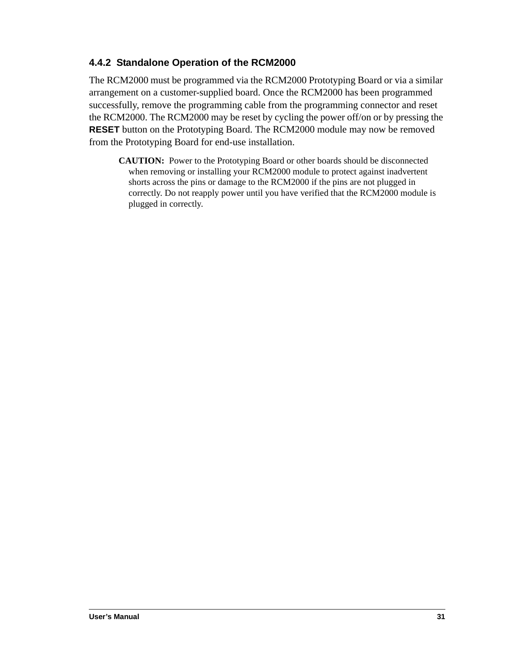#### <span id="page-34-0"></span>**4.4.2 Standalone Operation of the RCM2000**

The RCM2000 must be programmed via the RCM2000 Prototyping Board or via a similar arrangement on a customer-supplied board. Once the RCM2000 has been programmed successfully, remove the programming cable from the programming connector and reset the RCM2000. The RCM2000 may be reset by cycling the power off/on or by pressing the **RESET** button on the Prototyping Board. The RCM2000 module may now be removed from the Prototyping Board for end-use installation.

**CAUTION:** Power to the Prototyping Board or other boards should be disconnected when removing or installing your RCM2000 module to protect against inadvertent shorts across the pins or damage to the RCM2000 if the pins are not plugged in correctly. Do not reapply power until you have verified that the RCM2000 module is plugged in correctly.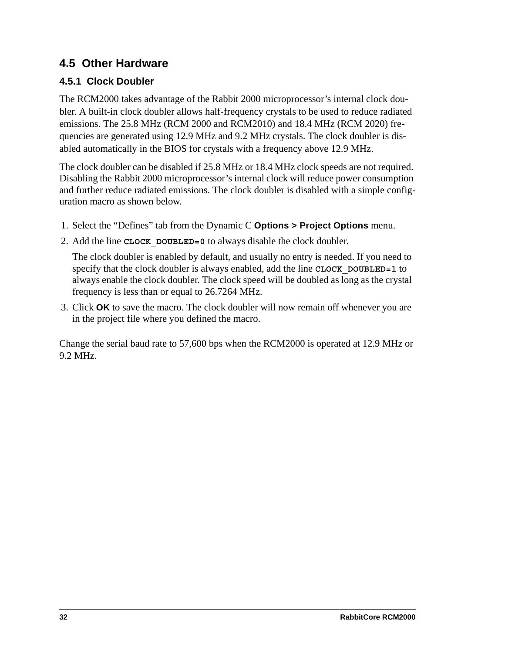# <span id="page-35-0"></span>**4.5 Other Hardware**

# <span id="page-35-1"></span>**4.5.1 Clock Doubler**

The RCM2000 takes advantage of the Rabbit 2000 microprocessor's internal clock doubler. A built-in clock doubler allows half-frequency crystals to be used to reduce radiated emissions. The 25.8 MHz (RCM 2000 and RCM2010) and 18.4 MHz (RCM 2020) frequencies are generated using 12.9 MHz and 9.2 MHz crystals. The clock doubler is disabled automatically in the BIOS for crystals with a frequency above 12.9 MHz.

The clock doubler can be disabled if 25.8 MHz or 18.4 MHz clock speeds are not required. Disabling the Rabbit 2000 microprocessor's internal clock will reduce power consumption and further reduce radiated emissions. The clock doubler is disabled with a simple configuration macro as shown below.

- 1. Select the "Defines" tab from the Dynamic C **Options > Project Options** menu.
- 2. Add the line **CLOCK\_DOUBLED=0** to always disable the clock doubler.

The clock doubler is enabled by default, and usually no entry is needed. If you need to specify that the clock doubler is always enabled, add the line **CLOCK\_DOUBLED=1** to always enable the clock doubler. The clock speed will be doubled as long as the crystal frequency is less than or equal to 26.7264 MHz.

3. Click **OK** to save the macro. The clock doubler will now remain off whenever you are in the project file where you defined the macro.

Change the serial baud rate to 57,600 bps when the RCM2000 is operated at 12.9 MHz or 9.2 MHz.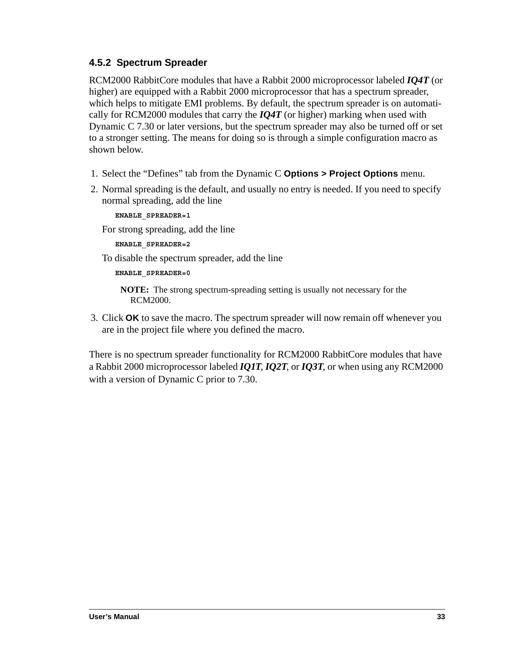### **4.5.2 Spectrum Spreader**

RCM2000 RabbitCore modules that have a Rabbit 2000 microprocessor labeled *IQ4T* (or higher) are equipped with a Rabbit 2000 microprocessor that has a spectrum spreader, which helps to mitigate EMI problems. By default, the spectrum spreader is on automatically for RCM2000 modules that carry the *IQ4T* (or higher) marking when used with Dynamic C 7.30 or later versions, but the spectrum spreader may also be turned off or set to a stronger setting. The means for doing so is through a simple configuration macro as shown below.

- 1. Select the "Defines" tab from the Dynamic C **Options > Project Options** menu.
- 2. Normal spreading is the default, and usually no entry is needed. If you need to specify normal spreading, add the line

#### **ENABLE\_SPREADER=1**

For strong spreading, add the line

**ENABLE\_SPREADER=2**

To disable the spectrum spreader, add the line

**ENABLE\_SPREADER=0**

**NOTE:** The strong spectrum-spreading setting is usually not necessary for the RCM2000.

3. Click **OK** to save the macro. The spectrum spreader will now remain off whenever you are in the project file where you defined the macro.

There is no spectrum spreader functionality for RCM2000 RabbitCore modules that have a Rabbit 2000 microprocessor labeled *IQ1T*, *IQ2T*, or *IQ3T*, or when using any RCM2000 with a version of Dynamic C prior to 7.30.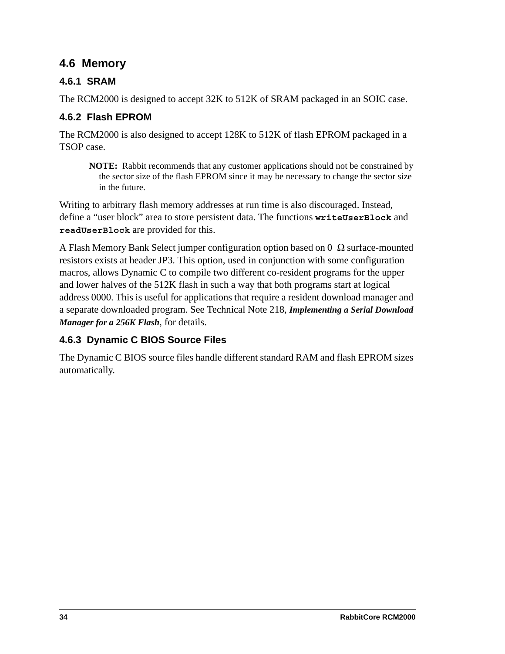## **4.6 Memory**

### **4.6.1 SRAM**

The RCM2000 is designed to accept 32K to 512K of SRAM packaged in an SOIC case.

### **4.6.2 Flash EPROM**

The RCM2000 is also designed to accept 128K to 512K of flash EPROM packaged in a TSOP case.

**NOTE:** Rabbit recommends that any customer applications should not be constrained by the sector size of the flash EPROM since it may be necessary to change the sector size in the future.

Writing to arbitrary flash memory addresses at run time is also discouraged. Instead, define a "user block" area to store persistent data. The functions **writeUserBlock** and **readUserBlock** are provided for this.

A Flash Memory Bank Select jumper configuration option based on  $0\Omega$  surface-mounted resistors exists at header JP3. This option, used in conjunction with some configuration macros, allows Dynamic C to compile two different co-resident programs for the upper and lower halves of the 512K flash in such a way that both programs start at logical address 0000. This is useful for applications that require a resident download manager and a separate downloaded program. See Technical Note 218, *Implementing a Serial Download Manager for a 256K Flash*, for details.

### **4.6.3 Dynamic C BIOS Source Files**

The Dynamic C BIOS source files handle different standard RAM and flash EPROM sizes automatically.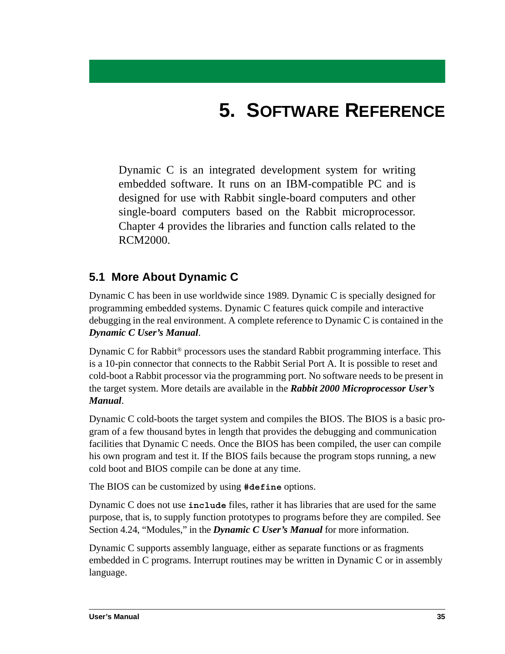# **5. SOFTWARE REFERENCE**

Dynamic C is an integrated development system for writing embedded software. It runs on an IBM-compatible PC and is designed for use with Rabbit single-board computers and other single-board computers based on the Rabbit microprocessor. Chapter 4 provides the libraries and function calls related to the RCM2000.

## **5.1 More About Dynamic C**

Dynamic C has been in use worldwide since 1989. Dynamic C is specially designed for programming embedded systems. Dynamic C features quick compile and interactive debugging in the real environment. A complete reference to Dynamic C is contained in the *Dynamic C User's Manual*.

Dynamic C for Rabbit® processors uses the standard Rabbit programming interface. This is a 10-pin connector that connects to the Rabbit Serial Port A. It is possible to reset and cold-boot a Rabbit processor via the programming port. No software needs to be present in the target system. More details are available in the *Rabbit 2000 Microprocessor User's Manual*.

Dynamic C cold-boots the target system and compiles the BIOS. The BIOS is a basic program of a few thousand bytes in length that provides the debugging and communication facilities that Dynamic C needs. Once the BIOS has been compiled, the user can compile his own program and test it. If the BIOS fails because the program stops running, a new cold boot and BIOS compile can be done at any time.

The BIOS can be customized by using **#define** options.

Dynamic C does not use **include** files, rather it has libraries that are used for the same purpose, that is, to supply function prototypes to programs before they are compiled. See Section 4.24, "Modules," in the *Dynamic C User's Manual* for more information.

Dynamic C supports assembly language, either as separate functions or as fragments embedded in C programs. Interrupt routines may be written in Dynamic C or in assembly language.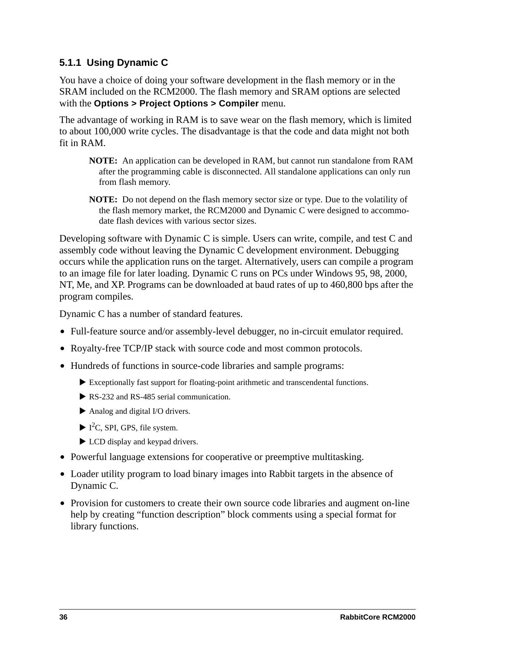#### **5.1.1 Using Dynamic C**

You have a choice of doing your software development in the flash memory or in the SRAM included on the RCM2000. The flash memory and SRAM options are selected with the **Options > Project Options > Compiler** menu.

The advantage of working in RAM is to save wear on the flash memory, which is limited to about 100,000 write cycles. The disadvantage is that the code and data might not both fit in RAM.

- **NOTE:** An application can be developed in RAM, but cannot run standalone from RAM after the programming cable is disconnected. All standalone applications can only run from flash memory.
- **NOTE:** Do not depend on the flash memory sector size or type. Due to the volatility of the flash memory market, the RCM2000 and Dynamic C were designed to accommodate flash devices with various sector sizes.

Developing software with Dynamic C is simple. Users can write, compile, and test C and assembly code without leaving the Dynamic C development environment. Debugging occurs while the application runs on the target. Alternatively, users can compile a program to an image file for later loading. Dynamic C runs on PCs under Windows 95, 98, 2000, NT, Me, and XP. Programs can be downloaded at baud rates of up to 460,800 bps after the program compiles.

Dynamic C has a number of standard features.

- **•** Full-feature source and/or assembly-level debugger, no in-circuit emulator required.
- **•** Royalty-free TCP/IP stack with source code and most common protocols.
- Hundreds of functions in source-code libraries and sample programs:
	- $\blacktriangleright$  Exceptionally fast support for floating-point arithmetic and transcendental functions.
	- $\triangleright$  RS-232 and RS-485 serial communication.
	- $\blacktriangleright$  Analog and digital I/O drivers.
	- $\blacktriangleright$  I<sup>2</sup>C, SPI, GPS, file system.
	- $\blacktriangleright$  LCD display and keypad drivers.
- **•** Powerful language extensions for cooperative or preemptive multitasking.
- **•** Loader utility program to load binary images into Rabbit targets in the absence of Dynamic C.
- Provision for customers to create their own source code libraries and augment on-line help by creating "function description" block comments using a special format for library functions.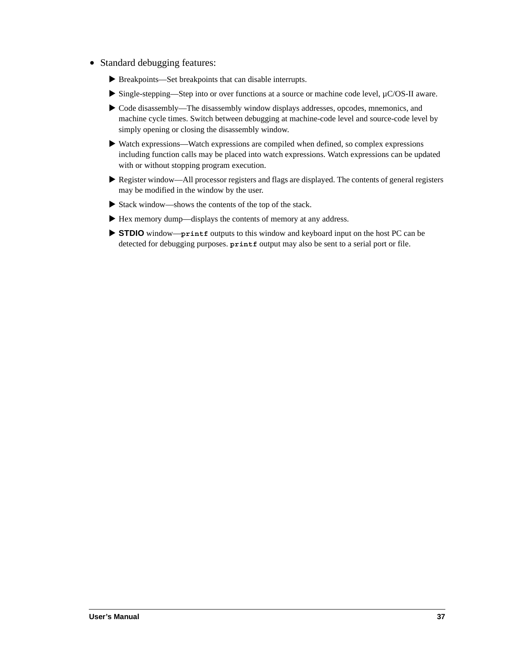- **•** Standard debugging features:
	- X Breakpoints—Set breakpoints that can disable interrupts.
	- ► Single-stepping—Step into or over functions at a source or machine code level, µC/OS-II aware.
	- $\blacktriangleright$  Code disassembly—The disassembly window displays addresses, opcodes, mnemonics, and machine cycle times. Switch between debugging at machine-code level and source-code level by simply opening or closing the disassembly window.
	- $\blacktriangleright$  Watch expressions—Watch expressions are compiled when defined, so complex expressions including function calls may be placed into watch expressions. Watch expressions can be updated with or without stopping program execution.
	- $\blacktriangleright$  Register window—All processor registers and flags are displayed. The contents of general registers may be modified in the window by the user.
	- $\triangleright$  Stack window—shows the contents of the top of the stack.
	- Hex memory dump—displays the contents of memory at any address.
	- ▶ STDIO window—**printf** outputs to this window and keyboard input on the host PC can be detected for debugging purposes. **printf** output may also be sent to a serial port or file.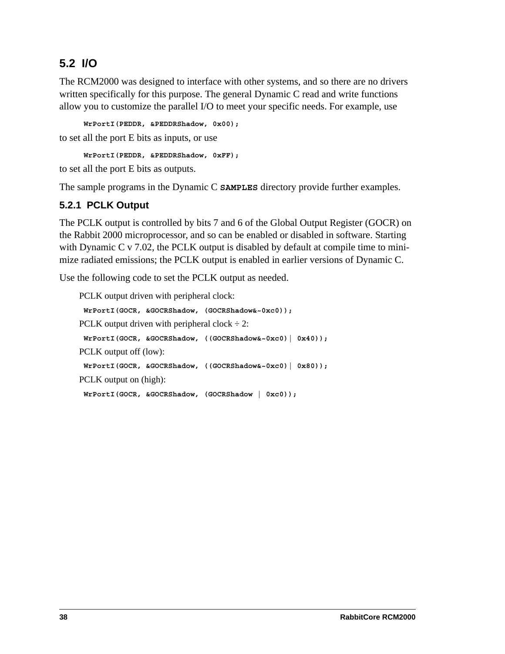## **5.2 I/O**

The RCM2000 was designed to interface with other systems, and so there are no drivers written specifically for this purpose. The general Dynamic C read and write functions allow you to customize the parallel I/O to meet your specific needs. For example, use

```
WrPortI(PEDDR, &PEDDRShadow, 0x00);
```
to set all the port E bits as inputs, or use

**WrPortI(PEDDR, &PEDDRShadow, 0xFF);**

to set all the port E bits as outputs.

The sample programs in the Dynamic C **SAMPLES** directory provide further examples.

### **5.2.1 PCLK Output**

The PCLK output is controlled by bits 7 and 6 of the Global Output Register (GOCR) on the Rabbit 2000 microprocessor, and so can be enabled or disabled in software. Starting with Dynamic C v 7.02, the PCLK output is disabled by default at compile time to minimize radiated emissions; the PCLK output is enabled in earlier versions of Dynamic C.

Use the following code to set the PCLK output as needed.

```
PCLK output driven with peripheral clock:
WrPortI(GOCR, &GOCRShadow, (GOCRShadow&~0xc0));
PCLK output driven with peripheral clock \div 2:
WrPortI(GOCR, &GOCRShadow, ((GOCRShadow&~0xc0)| 0x40));
PCLK output off (low):
WrPortI(GOCR, &GOCRShadow, ((GOCRShadow&~0xc0)| 0x80));
PCLK output on (high):
WrPortI(GOCR, &GOCRShadow, (GOCRShadow | 0xc0));
```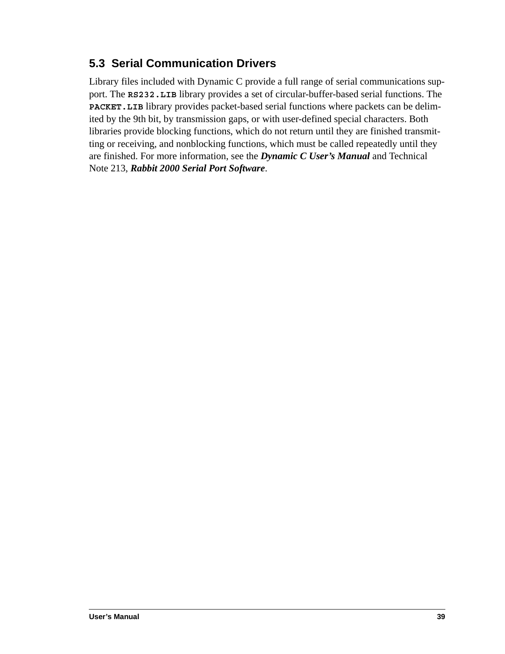## **5.3 Serial Communication Drivers**

Library files included with Dynamic C provide a full range of serial communications support. The **RS232.LIB** library provides a set of circular-buffer-based serial functions. The **PACKET.LIB** library provides packet-based serial functions where packets can be delimited by the 9th bit, by transmission gaps, or with user-defined special characters. Both libraries provide blocking functions, which do not return until they are finished transmitting or receiving, and nonblocking functions, which must be called repeatedly until they are finished. For more information, see the *Dynamic C User's Manual* and Technical Note 213, *Rabbit 2000 Serial Port Software*.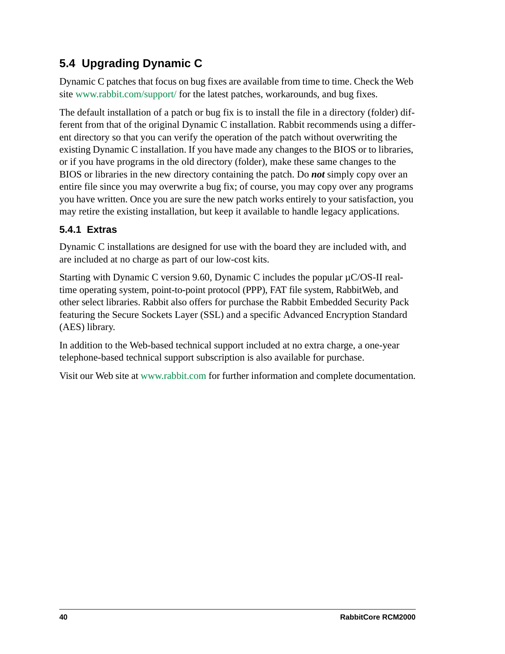# **5.4 Upgrading Dynamic C**

Dynamic C patches that focus on bug fixes are available from time to time. Check the Web site [www.rabbit.com/support/](http://www.rabbit.com/support/supportcenter.html) for the latest patches, workarounds, and bug fixes.

The default installation of a patch or bug fix is to install the file in a directory (folder) different from that of the original Dynamic C installation. Rabbit recommends using a different directory so that you can verify the operation of the patch without overwriting the existing Dynamic C installation. If you have made any changes to the BIOS or to libraries, or if you have programs in the old directory (folder), make these same changes to the BIOS or libraries in the new directory containing the patch. Do *not* simply copy over an entire file since you may overwrite a bug fix; of course, you may copy over any programs you have written. Once you are sure the new patch works entirely to your satisfaction, you may retire the existing installation, but keep it available to handle legacy applications.

### **5.4.1 Extras**

Dynamic C installations are designed for use with the board they are included with, and are included at no charge as part of our low-cost kits.

Starting with Dynamic C version 9.60, Dynamic C includes the popular µC/OS-II realtime operating system, point-to-point protocol (PPP), FAT file system, RabbitWeb, and other select libraries. Rabbit also offers for purchase the Rabbit Embedded Security Pack featuring the Secure Sockets Layer (SSL) and a specific Advanced Encryption Standard (AES) library.

In addition to the Web-based technical support included at no extra charge, a one-year telephone-based technical support subscription is also available for purchase.

Visit our Web site at [www.rabbit.com](http://www.rabbit.com/products/dc/) for further information and complete documentation.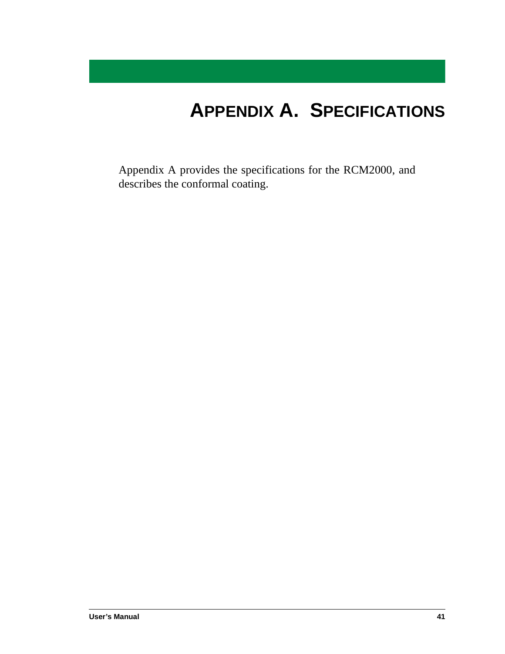# **APPENDIX A. SPECIFICATIONS**

Appendix A provides the specifications for the RCM2000, and describes the conformal coating.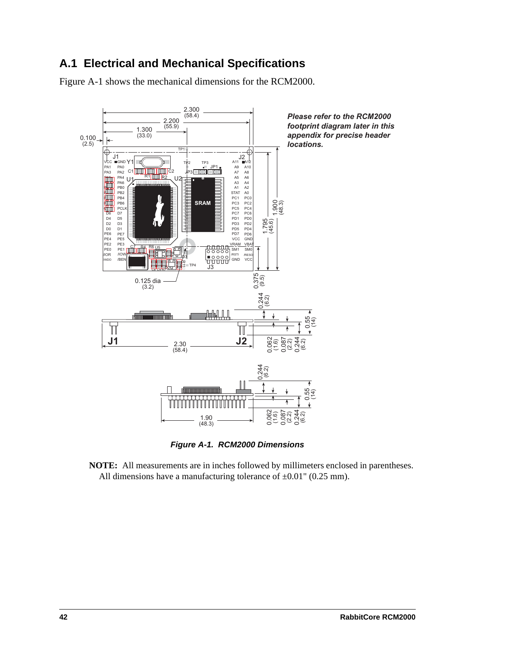## **A.1 Electrical and Mechanical Specifications**

[Figure A-1](#page-45-0) shows the mechanical dimensions for the RCM2000.



*Figure A-1. RCM2000 Dimensions*

<span id="page-45-0"></span>**NOTE:** All measurements are in inches followed by millimeters enclosed in parentheses. All dimensions have a manufacturing tolerance of  $\pm 0.01$ " (0.25 mm).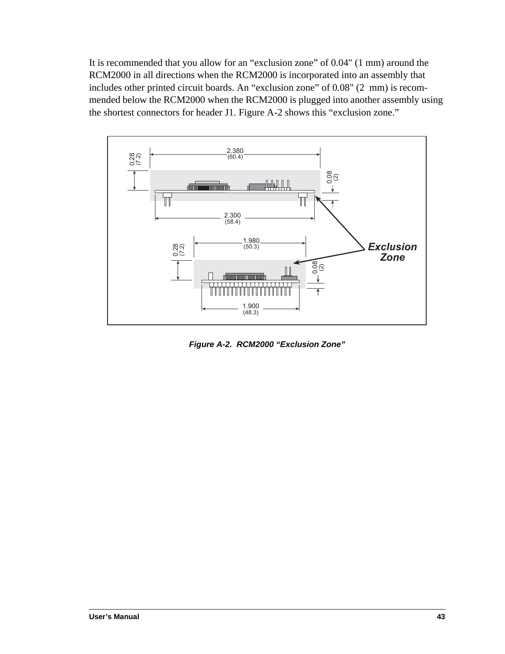It is recommended that you allow for an "exclusion zone" of 0.04" (1 mm) around the RCM2000 in all directions when the RCM2000 is incorporated into an assembly that includes other printed circuit boards. An "exclusion zone" of 0.08" (2 mm) is recommended below the RCM2000 when the RCM2000 is plugged into another assembly using the shortest connectors for header J1. [Figure A-2](#page-46-0) shows this "exclusion zone."



<span id="page-46-0"></span>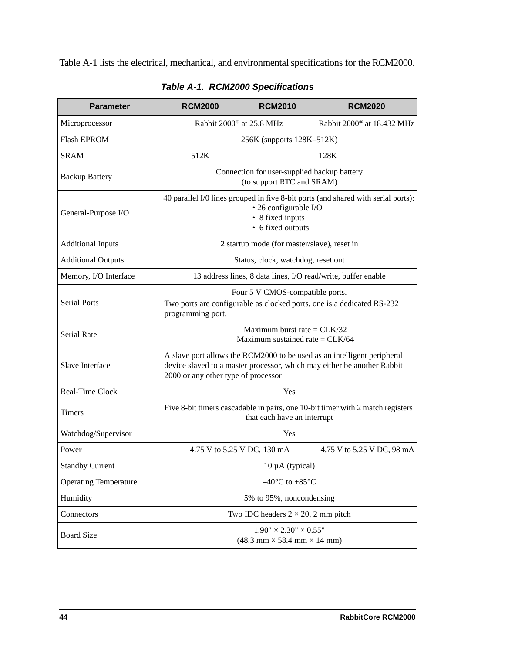[Table A-1](#page-47-0) lists the electrical, mechanical, and environmental specifications for the RCM2000.

<span id="page-47-0"></span>

| <b>Parameter</b>             | <b>RCM2000</b>                                                                                                                                                                            | <b>RCM2010</b>                                                                                                                                      | <b>RCM2020</b>             |  |  |
|------------------------------|-------------------------------------------------------------------------------------------------------------------------------------------------------------------------------------------|-----------------------------------------------------------------------------------------------------------------------------------------------------|----------------------------|--|--|
| Microprocessor               | Rabbit 2000® at 25.8 MHz<br>Rabbit 2000 <sup>®</sup> at 18.432 MHz                                                                                                                        |                                                                                                                                                     |                            |  |  |
| <b>Flash EPROM</b>           |                                                                                                                                                                                           | 256K (supports 128K-512K)                                                                                                                           |                            |  |  |
| <b>SRAM</b>                  | 512K                                                                                                                                                                                      |                                                                                                                                                     | 128K                       |  |  |
| <b>Backup Battery</b>        |                                                                                                                                                                                           | Connection for user-supplied backup battery<br>(to support RTC and SRAM)                                                                            |                            |  |  |
| General-Purpose I/O          |                                                                                                                                                                                           | 40 parallel I/0 lines grouped in five 8-bit ports (and shared with serial ports):<br>• 26 configurable I/O<br>• 8 fixed inputs<br>• 6 fixed outputs |                            |  |  |
| <b>Additional Inputs</b>     |                                                                                                                                                                                           | 2 startup mode (for master/slave), reset in                                                                                                         |                            |  |  |
| <b>Additional Outputs</b>    |                                                                                                                                                                                           | Status, clock, watchdog, reset out                                                                                                                  |                            |  |  |
| Memory, I/O Interface        |                                                                                                                                                                                           | 13 address lines, 8 data lines, I/O read/write, buffer enable                                                                                       |                            |  |  |
| <b>Serial Ports</b>          | Four 5 V CMOS-compatible ports.<br>Two ports are configurable as clocked ports, one is a dedicated RS-232<br>programming port.                                                            |                                                                                                                                                     |                            |  |  |
| Serial Rate                  | Maximum burst rate = $CLK/32$<br>Maximum sustained rate = $CLK/64$                                                                                                                        |                                                                                                                                                     |                            |  |  |
| Slave Interface              | A slave port allows the RCM2000 to be used as an intelligent peripheral<br>device slaved to a master processor, which may either be another Rabbit<br>2000 or any other type of processor |                                                                                                                                                     |                            |  |  |
| Real-Time Clock              |                                                                                                                                                                                           | Yes                                                                                                                                                 |                            |  |  |
| <b>Timers</b>                | Five 8-bit timers cascadable in pairs, one 10-bit timer with 2 match registers<br>that each have an interrupt                                                                             |                                                                                                                                                     |                            |  |  |
| Watchdog/Supervisor          |                                                                                                                                                                                           | Yes                                                                                                                                                 |                            |  |  |
| Power                        | 4.75 V to 5.25 V DC, 130 mA                                                                                                                                                               |                                                                                                                                                     | 4.75 V to 5.25 V DC, 98 mA |  |  |
| <b>Standby Current</b>       | $10 \mu A$ (typical)                                                                                                                                                                      |                                                                                                                                                     |                            |  |  |
| <b>Operating Temperature</b> | $-40^{\circ}$ C to $+85^{\circ}$ C                                                                                                                                                        |                                                                                                                                                     |                            |  |  |
| Humidity                     | 5% to 95%, noncondensing                                                                                                                                                                  |                                                                                                                                                     |                            |  |  |
| Connectors                   |                                                                                                                                                                                           | Two IDC headers $2 \times 20$ , 2 mm pitch                                                                                                          |                            |  |  |
| <b>Board Size</b>            |                                                                                                                                                                                           | $1.90" \times 2.30" \times 0.55"$<br>$(48.3 \text{ mm} \times 58.4 \text{ mm} \times 14 \text{ mm})$                                                |                            |  |  |

*Table A-1. RCM2000 Specifications*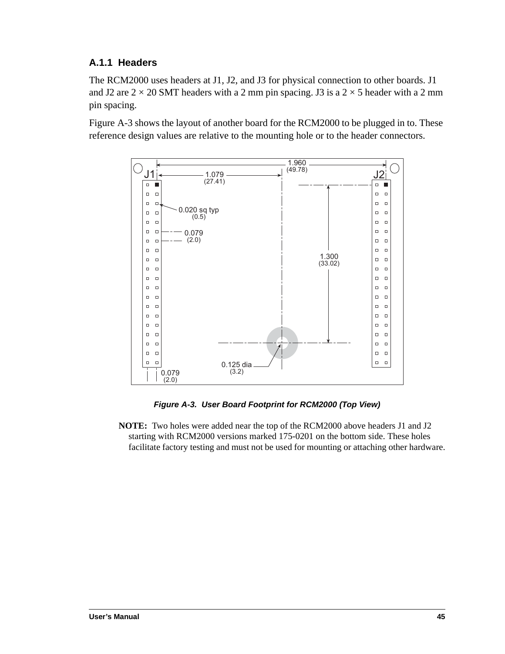#### **A.1.1 Headers**

The RCM2000 uses headers at J1, J2, and J3 for physical connection to other boards. J1 and J2 are  $2 \times 20$  SMT headers with a 2 mm pin spacing. J3 is a  $2 \times 5$  header with a 2 mm pin spacing.

[Figure A-3](#page-48-0) shows the layout of another board for the RCM2000 to be plugged in to. These reference design values are relative to the mounting hole or to the header connectors.



*Figure A-3. User Board Footprint for RCM2000 (Top View)*

<span id="page-48-0"></span>**NOTE:** Two holes were added near the top of the RCM2000 above headers J1 and J2 starting with RCM2000 versions marked 175-0201 on the bottom side. These holes facilitate factory testing and must not be used for mounting or attaching other hardware.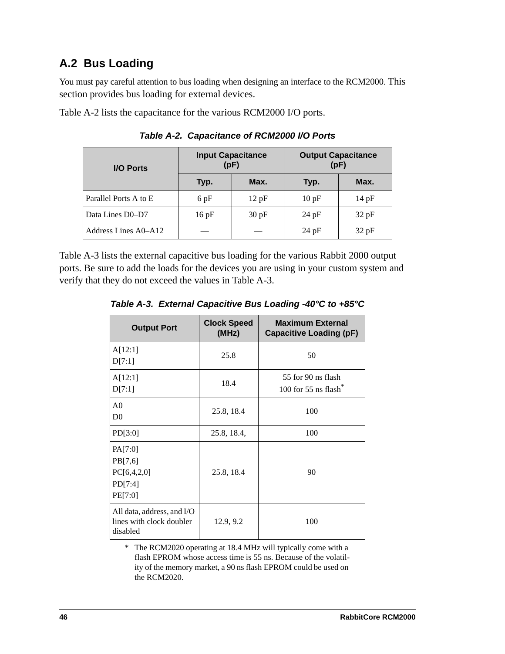## **A.2 Bus Loading**

You must pay careful attention to bus loading when designing an interface to the RCM2000. This section provides bus loading for external devices.

<span id="page-49-1"></span>[Table A-2](#page-49-1) lists the capacitance for the various RCM2000 I/O ports.

| <b>I/O Ports</b>      |      | <b>Input Capacitance</b><br>(pF) | <b>Output Capacitance</b><br>(pF) |       |  |  |
|-----------------------|------|----------------------------------|-----------------------------------|-------|--|--|
|                       | Typ. | Max.                             | Typ.                              | Max.  |  |  |
| Parallel Ports A to E | 6pF  | 12pF                             | 10pF                              | 14pF  |  |  |
| Data Lines D0-D7      | 16pF | 30 pF                            | $24$ pF                           | 32 pF |  |  |
| Address Lines A0–A12  |      |                                  | $24$ pF                           | 32 pF |  |  |

*Table A-2. Capacitance of RCM2000 I/O Ports*

<span id="page-49-0"></span>[Table A-3](#page-49-0) lists the external capacitive bus loading for the various Rabbit 2000 output ports. Be sure to add the loads for the devices you are using in your custom system and verify that they do not exceed the values in [Table A-3.](#page-49-0)

*Table A-3. External Capacitive Bus Loading -40°C to +85°C*

| <b>Output Port</b>                                                 | <b>Clock Speed</b><br>(MHz) | <b>Maximum External</b><br><b>Capacitive Loading (pF)</b> |
|--------------------------------------------------------------------|-----------------------------|-----------------------------------------------------------|
| A[12:1]<br>D[7:1]                                                  | 25.8                        | 50                                                        |
| A[12:1]<br>D[7:1]                                                  | 18.4                        | 55 for 90 ns flash<br>100 for $55$ ns flash*              |
| A <sub>0</sub><br>D <sub>0</sub>                                   | 25.8, 18.4                  | 100                                                       |
| PD[3:0]                                                            | 25.8, 18.4,                 | 100                                                       |
| PA[7:0]<br>PB[7,6]<br>PC[6,4,2,0]<br>PD[7:4]<br>PE[7:0]            | 25.8, 18.4                  | 90                                                        |
| All data, address, and I/O<br>lines with clock doubler<br>disabled | 12.9, 9.2                   | 100                                                       |

\* The RCM2020 operating at 18.4 MHz will typically come with a flash EPROM whose access time is 55 ns. Because of the volatility of the memory market, a 90 ns flash EPROM could be used on the RCM2020.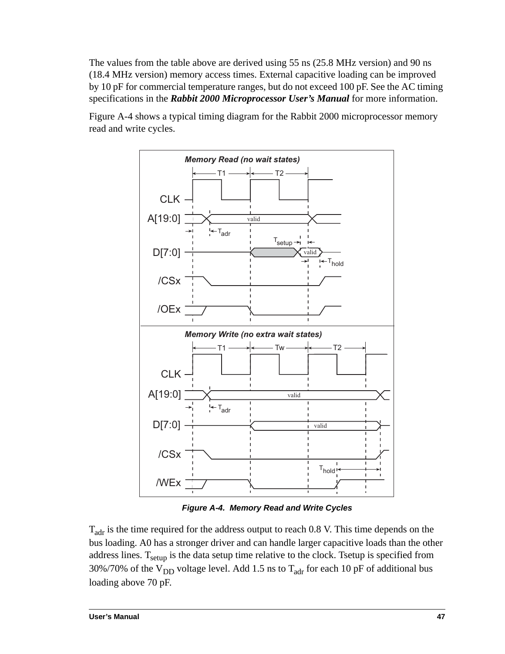The values from the table above are derived using 55 ns (25.8 MHz version) and 90 ns (18.4 MHz version) memory access times. External capacitive loading can be improved by 10 pF for commercial temperature ranges, but do not exceed 100 pF. See the AC timing specifications in the *Rabbit 2000 Microprocessor User's Manual* for more information.

[Figure A-4](#page-50-0) shows a typical timing diagram for the Rabbit 2000 microprocessor memory read and write cycles.



*Figure A-4. Memory Read and Write Cycles*

<span id="page-50-0"></span> $T_{\text{adr}}$  is the time required for the address output to reach 0.8 V. This time depends on the bus loading. A0 has a stronger driver and can handle larger capacitive loads than the other address lines.  $T_{\text{setup}}$  is the data setup time relative to the clock. Tsetup is specified from 30%/70% of the  $V_{DD}$  voltage level. Add 1.5 ns to  $T_{\text{adr}}$  for each 10 pF of additional bus loading above 70 pF.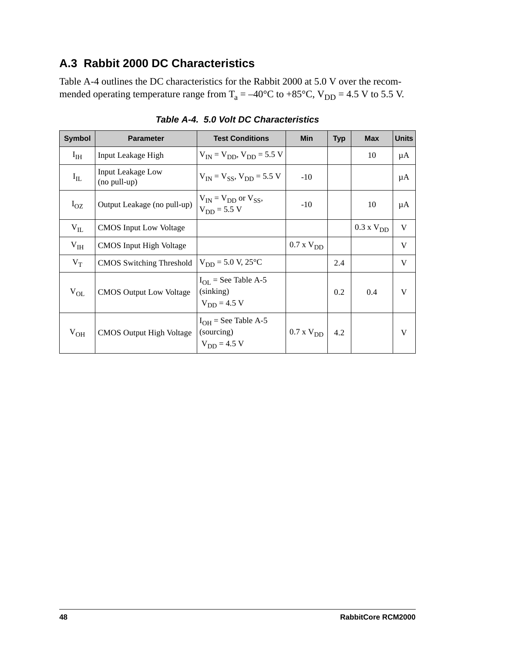## **A.3 Rabbit 2000 DC Characteristics**

[Table A-4](#page-51-0) outlines the DC characteristics for the Rabbit 2000 at 5.0 V over the recommended operating temperature range from  $T_a = -40^{\circ}C$  to +85°C,  $V_{DD} = 4.5$  V to 5.5 V.

<span id="page-51-0"></span>

| <b>Symbol</b>   | <b>Parameter</b>                         | <b>Test Conditions</b>                                     | <b>Min</b>       | <b>Typ</b> | <b>Max</b>          | <b>Units</b> |
|-----------------|------------------------------------------|------------------------------------------------------------|------------------|------------|---------------------|--------------|
| $I_{IH}$        | Input Leakage High                       | $V_{IN} = V_{DD}$ , $V_{DD} = 5.5$ V                       |                  |            | 10                  | μA           |
| $I_{IL}$        | <b>Input Leakage Low</b><br>(no pull-up) | $V_{IN} = V_{SS}$ , $V_{DD} = 5.5$ V                       | $-10$            |            |                     | μA           |
| $I_{OZ}$        | Output Leakage (no pull-up)              | $V_{IN} = V_{DD}$ or $V_{SS}$ ,<br>$V_{DD} = 5.5 V$        | $-10$            |            | 10                  | μA           |
| $V_{IL}$        | <b>CMOS</b> Input Low Voltage            |                                                            |                  |            | $0.3 \times V_{DD}$ | V            |
| V <sub>IH</sub> | <b>CMOS</b> Input High Voltage           |                                                            | $0.7$ x $V_{DD}$ |            |                     | V            |
| $V_T$           | CMOS Switching Threshold                 | $V_{DD} = 5.0 V, 25^{\circ}C$                              |                  | 2.4        |                     | V            |
| $V_{OL}$        | <b>CMOS Output Low Voltage</b>           | $I_{OL}$ = See Table A-5<br>(sinking)<br>$V_{DD} = 4.5 V$  |                  | 0.2        | 0.4                 | V            |
| $V_{OH}$        | <b>CMOS Output High Voltage</b>          | $I_{OH}$ = See Table A-5<br>(sourcing)<br>$V_{DD} = 4.5 V$ | $0.7$ x $V_{DD}$ | 4.2        |                     | V            |

*Table A-4. 5.0 Volt DC Characteristics*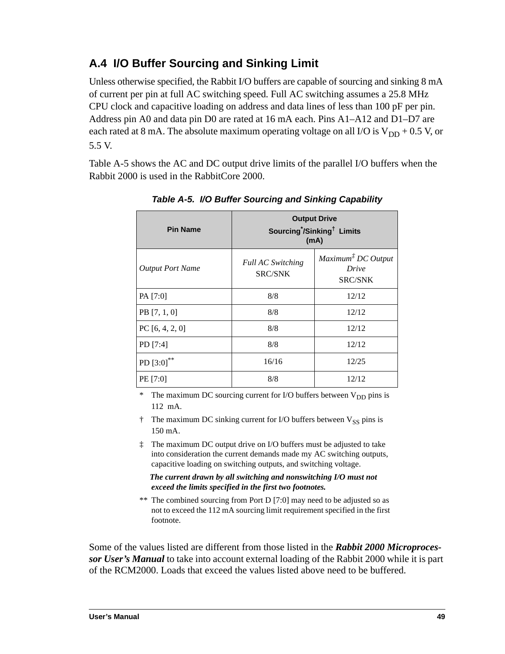# **A.4 I/O Buffer Sourcing and Sinking Limit**

Unless otherwise specified, the Rabbit I/O buffers are capable of sourcing and sinking 8 mA of current per pin at full AC switching speed. Full AC switching assumes a 25.8 MHz CPU clock and capacitive loading on address and data lines of less than 100 pF per pin. Address pin A0 and data pin D0 are rated at 16 mA each. Pins A1–A12 and D1–D7 are each rated at 8 mA. The absolute maximum operating voltage on all I/O is  $V_{DD}$  + 0.5 V, or 5.5 V.

<span id="page-52-0"></span>[Table A-5](#page-52-0) shows the AC and DC output drive limits of the parallel I/O buffers when the Rabbit 2000 is used in the RabbitCore 2000.

| <b>Pin Name</b>         | <b>Output Drive</b><br>Sourcing <sup>*</sup> /Sinking <sup>†</sup> Limits<br>(mA) |                                                                                 |  |  |  |
|-------------------------|-----------------------------------------------------------------------------------|---------------------------------------------------------------------------------|--|--|--|
| <b>Output Port Name</b> | <b>Full AC Switching</b><br><b>SRC/SNK</b>                                        | $Maximum$ <sup><math>\ddagger</math></sup> DC Output<br>Drive<br><b>SRC/SNK</b> |  |  |  |
| PA [7:0]                | 8/8                                                                               | 12/12                                                                           |  |  |  |
| PB [7, 1, 0]            | 8/8                                                                               | 12/12                                                                           |  |  |  |
| PC [6, 4, 2, 0]         | 8/8                                                                               | 12/12                                                                           |  |  |  |
| PD [7:4]                | 8/8                                                                               | 12/12                                                                           |  |  |  |
| PD [3:0]**              | 16/16                                                                             | 12/25                                                                           |  |  |  |
| PE [7:0]                | 8/8<br>12/12                                                                      |                                                                                 |  |  |  |

*Table A-5. I/O Buffer Sourcing and Sinking Capability*

\* The maximum DC sourcing current for I/O buffers between  $V_{DD}$  pins is 112 mA.

 $\dagger$  The maximum DC sinking current for I/O buffers between  $V_{SS}$  pins is 150 mA.

‡ The maximum DC output drive on I/O buffers must be adjusted to take into consideration the current demands made my AC switching outputs, capacitive loading on switching outputs, and switching voltage.

 *The current drawn by all switching and nonswitching I/O must not exceed the limits specified in the first two footnotes.*

\*\* The combined sourcing from Port D [7:0] may need to be adjusted so as not to exceed the 112 mA sourcing limit requirement specified in the first footnote.

Some of the values listed are different from those listed in the *Rabbit 2000 Microprocessor User's Manual* to take into account external loading of the Rabbit 2000 while it is part of the RCM2000. Loads that exceed the values listed above need to be buffered.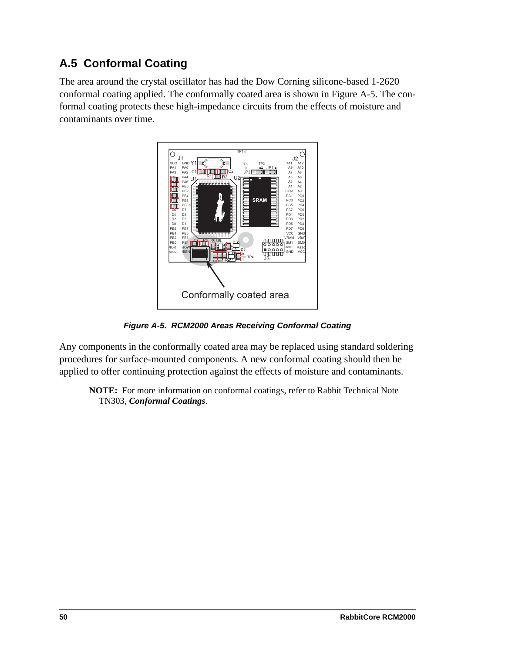# **A.5 Conformal Coating**

The area around the crystal oscillator has had the Dow Corning silicone-based 1-2620 conformal coating applied. The conformally coated area is shown in [Figure A-5](#page-53-0). The conformal coating protects these high-impedance circuits from the effects of moisture and contaminants over time.



*Figure A-5. RCM2000 Areas Receiving Conformal Coating*

<span id="page-53-0"></span>Any components in the conformally coated area may be replaced using standard soldering procedures for surface-mounted components. A new conformal coating should then be applied to offer continuing protection against the effects of moisture and contaminants.

**NOTE:** For more information on conformal coatings, refer to Rabbit Technical Note TN303, *Conformal Coatings*.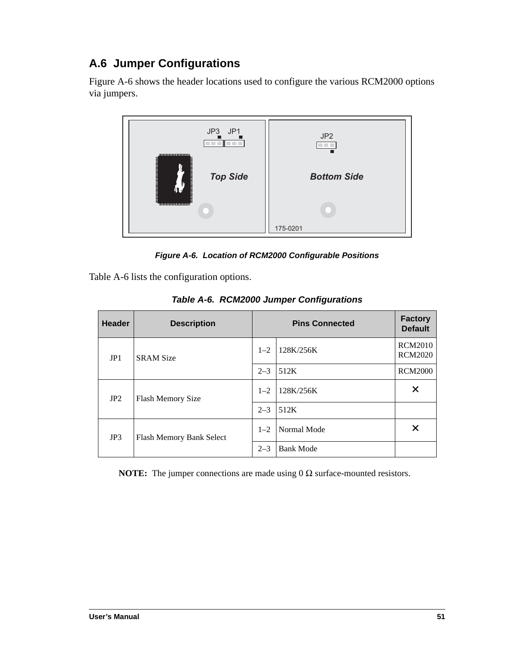# **A.6 Jumper Configurations**

[Figure A-6](#page-54-0) shows the header locations used to configure the various RCM2000 options via jumpers.



*Figure A-6. Location of RCM2000 Configurable Positions*

<span id="page-54-0"></span>[Table A-6](#page-54-1) lists the configuration options.

<span id="page-54-1"></span>

| <b>Header</b> | <b>Description</b>       |         | <b>Factory</b><br><b>Default</b> |                                  |
|---------------|--------------------------|---------|----------------------------------|----------------------------------|
| JP1           | <b>SRAM Size</b>         | $1 - 2$ | 128K/256K                        | <b>RCM2010</b><br><b>RCM2020</b> |
|               |                          | $2 - 3$ | 512K                             | <b>RCM2000</b>                   |
| JP2           | <b>Flash Memory Size</b> | $1 - 2$ | 128K/256K                        | X                                |
|               |                          | $2 - 3$ | 512K                             |                                  |
| JP3           | Flash Memory Bank Select | $1 - 2$ | Normal Mode                      | X                                |
|               |                          | $2 - 3$ | <b>Bank Mode</b>                 |                                  |

*Table A-6. RCM2000 Jumper Configurations*

**NOTE:** The jumper connections are made using 0 Ω surface-mounted resistors.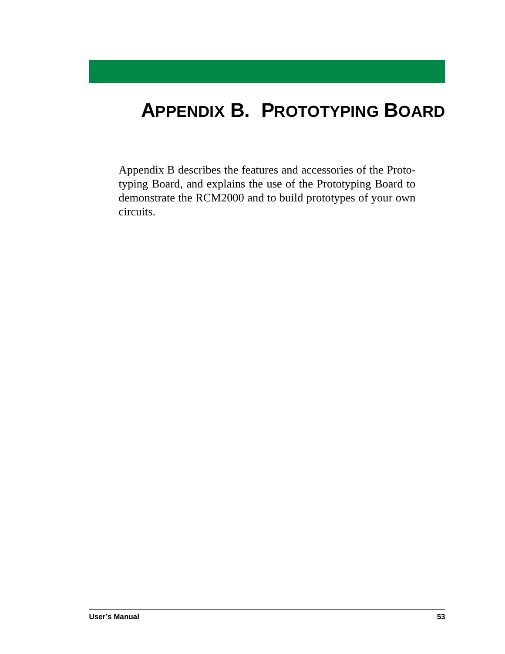# <span id="page-56-0"></span>**APPENDIX B. PROTOTYPING BOARD**

[Appendix B](#page-56-0) describes the features and accessories of the Prototyping Board, and explains the use of the Prototyping Board to demonstrate the RCM2000 and to build prototypes of your own circuits.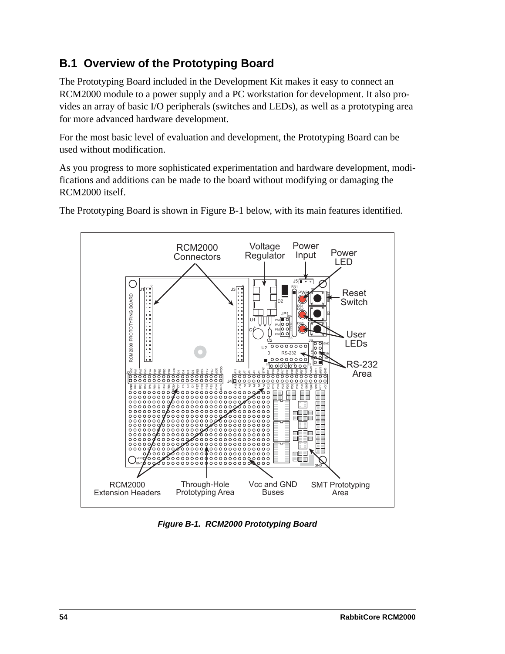# **B.1 Overview of the Prototyping Board**

The Prototyping Board included in the Development Kit makes it easy to connect an RCM2000 module to a power supply and a PC workstation for development. It also provides an array of basic I/O peripherals (switches and LEDs), as well as a prototyping area for more advanced hardware development.

For the most basic level of evaluation and development, the Prototyping Board can be used without modification.

As you progress to more sophisticated experimentation and hardware development, modifications and additions can be made to the board without modifying or damaging the RCM2000 itself.



The Prototyping Board is shown in [Figure B-1](#page-57-0) below, with its main features identified.

<span id="page-57-0"></span>*Figure B-1. RCM2000 Prototyping Board*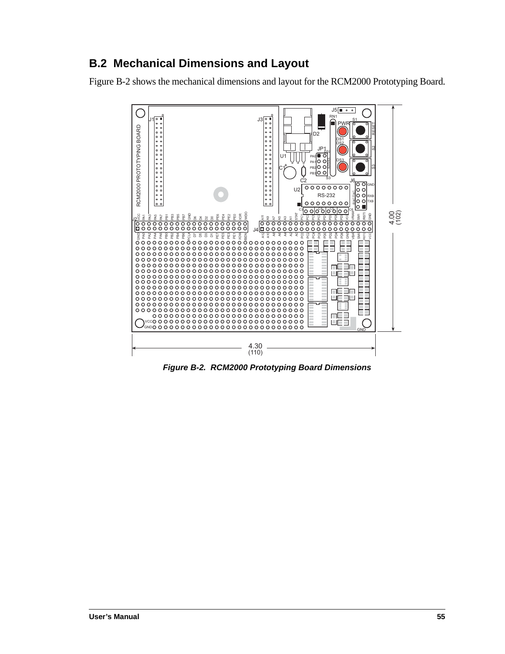## **B.2 Mechanical Dimensions and Layout**

[Figure B-2](#page-58-0) shows the mechanical dimensions and layout for the RCM2000 Prototyping Board.



<span id="page-58-0"></span>*Figure B-2. RCM2000 Prototyping Board Dimensions*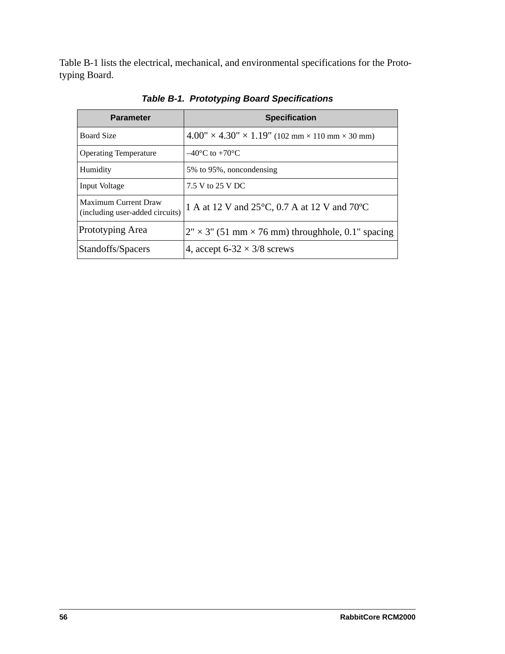[Table B-1](#page-59-0) lists the electrical, mechanical, and environmental specifications for the Prototyping Board.

<span id="page-59-0"></span>

| <b>Parameter</b>                                        | <b>Specification</b>                                                         |
|---------------------------------------------------------|------------------------------------------------------------------------------|
| <b>Board Size</b>                                       | $4.00'' \times 4.30'' \times 1.19''$ (102 mm $\times$ 110 mm $\times$ 30 mm) |
| <b>Operating Temperature</b>                            | $-40^{\circ}$ C to $+70^{\circ}$ C                                           |
| Humidity                                                | 5% to 95%, noncondensing                                                     |
| Input Voltage                                           | 7.5 V to 25 V DC                                                             |
| Maximum Current Draw<br>(including user-added circuits) | 1 A at 12 V and 25°C, 0.7 A at 12 V and 70°C                                 |
| Prototyping Area                                        | $2" \times 3"$ (51 mm $\times$ 76 mm) throughhole, 0.1" spacing              |
| Standoffs/Spacers                                       | 4, accept 6-32 $\times$ 3/8 screws                                           |

*Table B-1. Prototyping Board Specifications*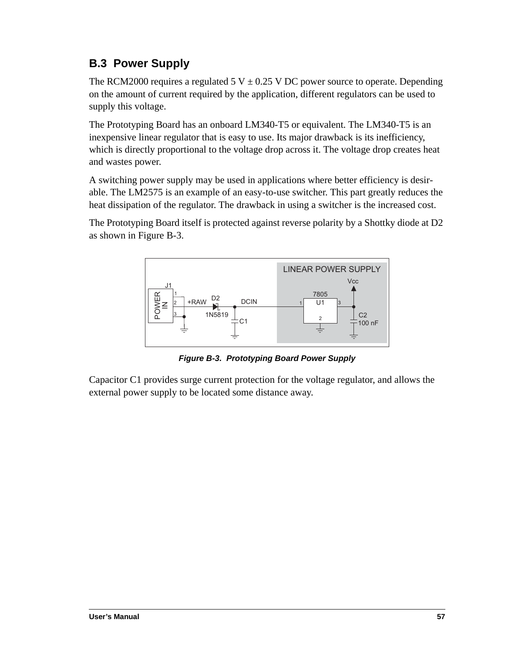# **B.3 Power Supply**

The RCM2000 requires a regulated 5 V  $\pm$  0.25 V DC power source to operate. Depending on the amount of current required by the application, different regulators can be used to supply this voltage.

The Prototyping Board has an onboard LM340-T5 or equivalent. The LM340-T5 is an inexpensive linear regulator that is easy to use. Its major drawback is its inefficiency, which is directly proportional to the voltage drop across it. The voltage drop creates heat and wastes power.

A switching power supply may be used in applications where better efficiency is desirable. The LM2575 is an example of an easy-to-use switcher. This part greatly reduces the heat dissipation of the regulator. The drawback in using a switcher is the increased cost.

The Prototyping Board itself is protected against reverse polarity by a Shottky diode at D2 as shown in [Figure B-3.](#page-60-0)



*Figure B-3. Prototyping Board Power Supply*

<span id="page-60-0"></span>Capacitor C1 provides surge current protection for the voltage regulator, and allows the external power supply to be located some distance away.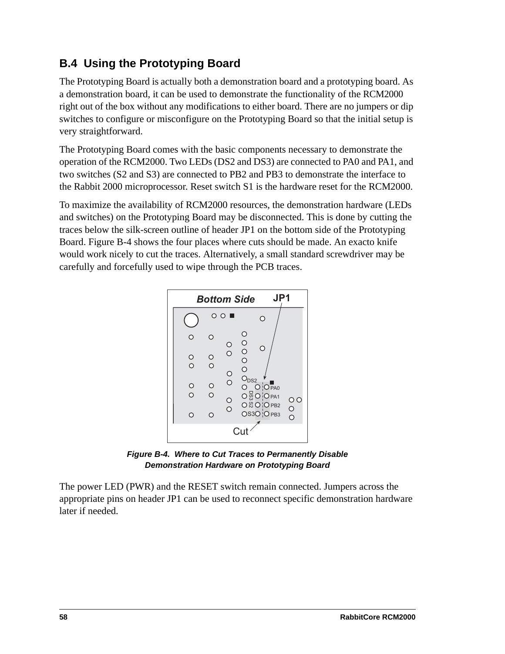## **B.4 Using the Prototyping Board**

The Prototyping Board is actually both a demonstration board and a prototyping board. As a demonstration board, it can be used to demonstrate the functionality of the RCM2000 right out of the box without any modifications to either board. There are no jumpers or dip switches to configure or misconfigure on the Prototyping Board so that the initial setup is very straightforward.

The Prototyping Board comes with the basic components necessary to demonstrate the operation of the RCM2000. Two LEDs (DS2 and DS3) are connected to PA0 and PA1, and two switches (S2 and S3) are connected to PB2 and PB3 to demonstrate the interface to the Rabbit 2000 microprocessor. Reset switch S1 is the hardware reset for the RCM2000.

To maximize the availability of RCM2000 resources, the demonstration hardware (LEDs and switches) on the Prototyping Board may be disconnected. This is done by cutting the traces below the silk-screen outline of header JP1 on the bottom side of the Prototyping Board. [Figure B-4](#page-61-0) shows the four places where cuts should be made. An exacto knife would work nicely to cut the traces. Alternatively, a small standard screwdriver may be carefully and forcefully used to wipe through the PCB traces.



*Figure B-4. Where to Cut Traces to Permanently Disable Demonstration Hardware on Prototyping Board*

<span id="page-61-0"></span>The power LED (PWR) and the RESET switch remain connected. Jumpers across the appropriate pins on header JP1 can be used to reconnect specific demonstration hardware later if needed.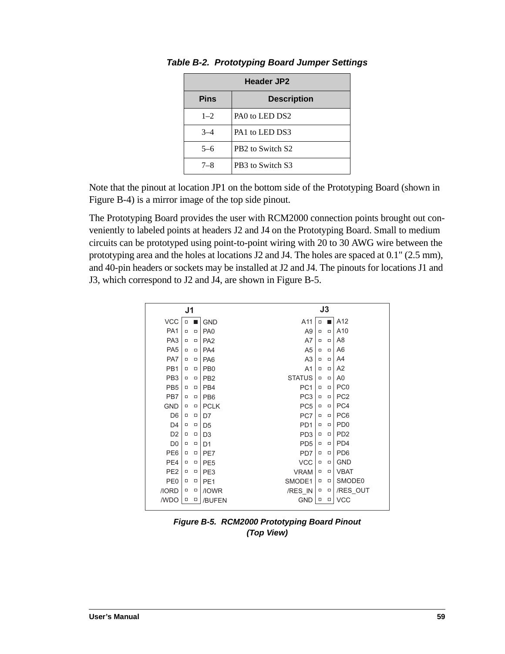| <b>Header JP2</b>                 |                                          |  |  |
|-----------------------------------|------------------------------------------|--|--|
| <b>Pins</b><br><b>Description</b> |                                          |  |  |
| $1 - 2$                           | PAO to LED DS2                           |  |  |
| $3 - 4$                           | PA <sub>1</sub> to LED DS <sub>3</sub>   |  |  |
| $5-6$                             | PB <sub>2</sub> to Switch S <sub>2</sub> |  |  |
| $7 - 8$                           | PB3 to Switch S3                         |  |  |

*Table B-2. Prototyping Board Jumper Settings*

Note that the pinout at location JP1 on the bottom side of the Prototyping Board (shown in [Figure B-4](#page-61-0)) is a mirror image of the top side pinout.

The Prototyping Board provides the user with RCM2000 connection points brought out conveniently to labeled points at headers J2 and J4 on the Prototyping Board. Small to medium circuits can be prototyped using point-to-point wiring with 20 to 30 AWG wire between the prototyping area and the holes at locations J2 and J4. The holes are spaced at 0.1" (2.5 mm), and 40-pin headers or sockets may be installed at J2 and J4. The pinouts for locations J1 and J3, which correspond to J2 and J4, are shown in [Figure B-5.](#page-62-0)

| J1              |        | $\mathsf{J}3$ |                 |                 |        |        |                 |
|-----------------|--------|---------------|-----------------|-----------------|--------|--------|-----------------|
| <b>VCC</b>      |        | $\Box$        | <b>GND</b>      | A11             | ο      |        | A12             |
| PA <sub>1</sub> | $\Box$ | $\Box$        | PA <sub>0</sub> | A <sub>9</sub>  | $\Box$ | $\Box$ | A10             |
| PA <sub>3</sub> | $\Box$ | $\Box$        | PA <sub>2</sub> | A7              | $\Box$ | $\Box$ | A <sub>8</sub>  |
| PA <sub>5</sub> | $\Box$ | $\Box$        | PA4             | A <sub>5</sub>  | $\Box$ | $\Box$ | A <sub>6</sub>  |
| PA7             | $\Box$ | $\Box$        | PA <sub>6</sub> | A <sub>3</sub>  | $\Box$ | $\Box$ | A4              |
| PB <sub>1</sub> | $\Box$ | $\Box$        | PB <sub>0</sub> | A <sub>1</sub>  | $\Box$ | $\Box$ | A <sub>2</sub>  |
| PB <sub>3</sub> | $\Box$ | $\Box$        | PB <sub>2</sub> | <b>STATUS</b>   | $\Box$ | $\Box$ | A <sub>0</sub>  |
| PB <sub>5</sub> | $\Box$ | $\Box$        | PB4             | PC <sub>1</sub> | $\Box$ | $\Box$ | PC <sub>0</sub> |
| PB7             | $\Box$ | $\Box$        | PB <sub>6</sub> | PC <sub>3</sub> | $\Box$ | $\Box$ | PC <sub>2</sub> |
| <b>GND</b>      | $\Box$ | $\Box$        | <b>PCLK</b>     | PC <sub>5</sub> | $\Box$ | $\Box$ | PC4             |
| D <sub>6</sub>  | $\Box$ | $\Box$        | D7              | PC7             | $\Box$ | $\Box$ | PC <sub>6</sub> |
| D <sub>4</sub>  | $\Box$ | $\Box$        | D <sub>5</sub>  | PD <sub>1</sub> | $\Box$ | $\Box$ | PD <sub>0</sub> |
| D <sub>2</sub>  | $\Box$ | $\Box$        | D <sub>3</sub>  | PD <sub>3</sub> | $\Box$ | $\Box$ | PD <sub>2</sub> |
| D <sub>0</sub>  | $\Box$ | $\Box$        | D <sub>1</sub>  | PD <sub>5</sub> | $\Box$ | $\Box$ | PD4             |
| PE <sub>6</sub> | $\Box$ | $\Box$        | PE7             | PD7             | $\Box$ | $\Box$ | PD <sub>6</sub> |
| PE4             | $\Box$ | $\Box$        | PE <sub>5</sub> | <b>VCC</b>      | $\Box$ | $\Box$ | <b>GND</b>      |
| PE <sub>2</sub> | $\Box$ | $\Box$        | PE3             | <b>VRAM</b>     | $\Box$ | $\Box$ | <b>VBAT</b>     |
| PE <sub>0</sub> | $\Box$ | $\Box$        | PE <sub>1</sub> | SMODE1          | $\Box$ | $\Box$ | SMODE0          |
| /IORD           | $\Box$ | α             | /IOWR           | /RES IN         | ο      | ο      | /RES OUT        |
| /WDO            | $\Box$ | $\Box$        | /BUFEN          | <b>GND</b>      | $\Box$ | $\Box$ | <b>VCC</b>      |
|                 |        |               |                 |                 |        |        |                 |

<span id="page-62-0"></span>*Figure B-5. RCM2000 Prototyping Board Pinout (Top View)*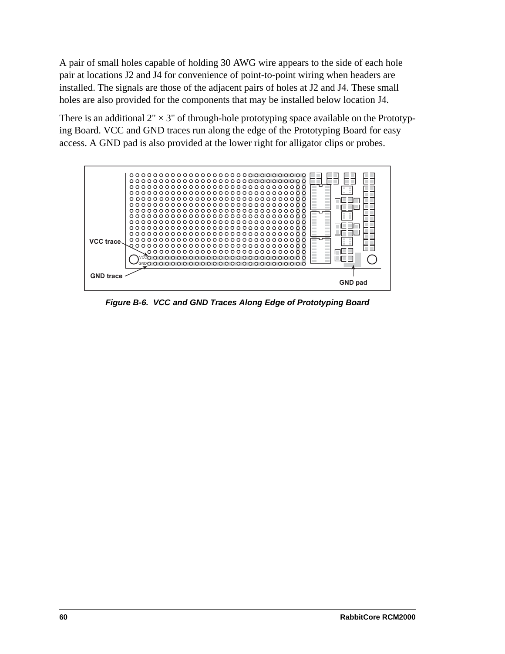A pair of small holes capable of holding 30 AWG wire appears to the side of each hole pair at locations J2 and J4 for convenience of point-to-point wiring when headers are installed. The signals are those of the adjacent pairs of holes at J2 and J4. These small holes are also provided for the components that may be installed below location J4.

There is an additional  $2" \times 3"$  of through-hole prototyping space available on the Prototyping Board. VCC and GND traces run along the edge of the Prototyping Board for easy access. A GND pad is also provided at the lower right for alligator clips or probes.



*Figure B-6. VCC and GND Traces Along Edge of Prototyping Board*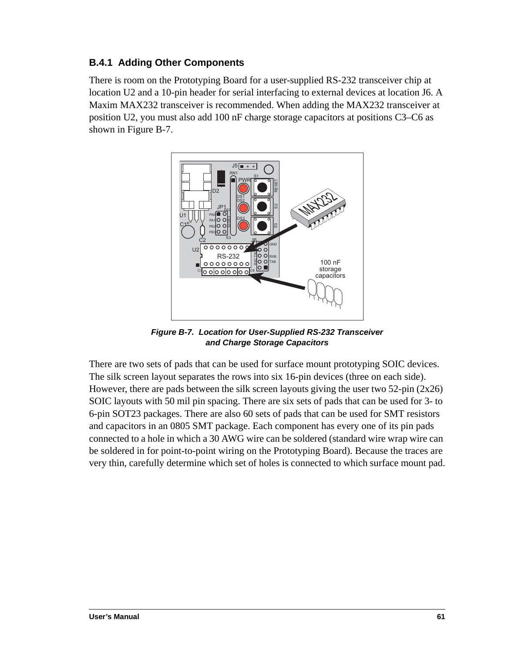### **B.4.1 Adding Other Components**

There is room on the Prototyping Board for a user-supplied RS-232 transceiver chip at location U2 and a 10-pin header for serial interfacing to external devices at location J6. A Maxim MAX232 transceiver is recommended. When adding the MAX232 transceiver at position U2, you must also add 100 nF charge storage capacitors at positions C3–C6 as shown in [Figure B-7.](#page-64-0)



*Figure B-7. Location for User-Supplied RS-232 Transceiver and Charge Storage Capacitors*

<span id="page-64-0"></span>There are two sets of pads that can be used for surface mount prototyping SOIC devices. The silk screen layout separates the rows into six 16-pin devices (three on each side). However, there are pads between the silk screen layouts giving the user two  $52$ -pin  $(2x26)$ SOIC layouts with 50 mil pin spacing. There are six sets of pads that can be used for 3- to 6-pin SOT23 packages. There are also 60 sets of pads that can be used for SMT resistors and capacitors in an 0805 SMT package. Each component has every one of its pin pads connected to a hole in which a 30 AWG wire can be soldered (standard wire wrap wire can be soldered in for point-to-point wiring on the Prototyping Board). Because the traces are very thin, carefully determine which set of holes is connected to which surface mount pad.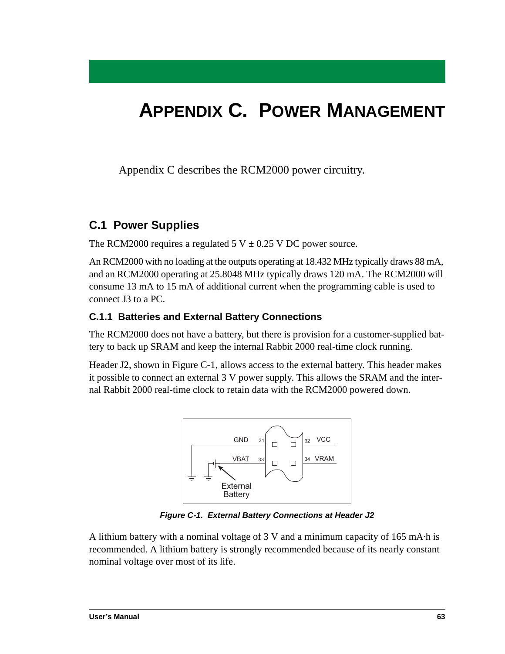# **APPENDIX C. POWER MANAGEMENT**

Appendix C describes the RCM2000 power circuitry.

## **C.1 Power Supplies**

The RCM2000 requires a regulated 5 V  $\pm$  0.25 V DC power source.

An RCM2000 with no loading at the outputs operating at 18.432 MHz typically draws 88 mA, and an RCM2000 operating at 25.8048 MHz typically draws 120 mA. The RCM2000 will consume 13 mA to 15 mA of additional current when the programming cable is used to connect J3 to a PC.

### **C.1.1 Batteries and External Battery Connections**

The RCM2000 does not have a battery, but there is provision for a customer-supplied battery to back up SRAM and keep the internal Rabbit 2000 real-time clock running.

Header J2, shown in [Figure C-1](#page-66-0), allows access to the external battery. This header makes it possible to connect an external 3 V power supply. This allows the SRAM and the internal Rabbit 2000 real-time clock to retain data with the RCM2000 powered down.



*Figure C-1. External Battery Connections at Header J2*

<span id="page-66-0"></span>A lithium battery with a nominal voltage of 3 V and a minimum capacity of 165 mA·h is recommended. A lithium battery is strongly recommended because of its nearly constant nominal voltage over most of its life.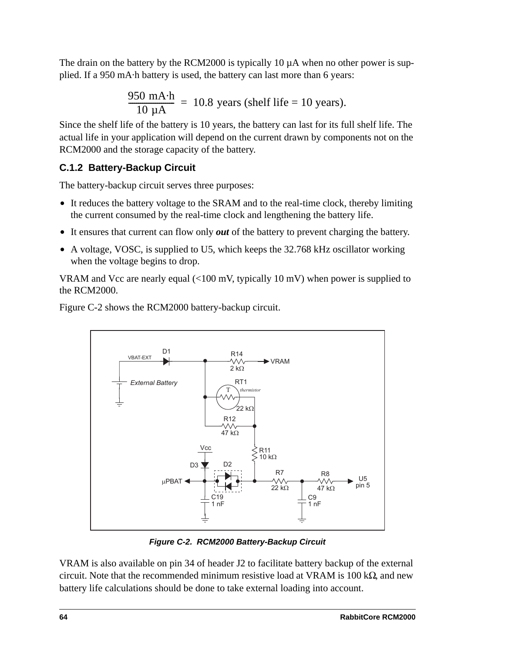The drain on the battery by the RCM2000 is typically 10  $\mu$ A when no other power is supplied. If a 950 mA·h battery is used, the battery can last more than 6 years:

$$
\frac{950 \text{ mA} \cdot \text{h}}{10 \text{ }\mu\text{A}} = 10.8 \text{ years (shell life} = 10 \text{ years}).
$$

Since the shelf life of the battery is 10 years, the battery can last for its full shelf life. The actual life in your application will depend on the current drawn by components not on the RCM2000 and the storage capacity of the battery.

#### **C.1.2 Battery-Backup Circuit**

The battery-backup circuit serves three purposes:

- **•** It reduces the battery voltage to the SRAM and to the real-time clock, thereby limiting the current consumed by the real-time clock and lengthening the battery life.
- **•** It ensures that current can flow only *out* of the battery to prevent charging the battery.
- **•** A voltage, VOSC, is supplied to U5, which keeps the 32.768 kHz oscillator working when the voltage begins to drop.

VRAM and Vcc are nearly equal (<100 mV, typically 10 mV) when power is supplied to the RCM2000.

[Figure C-2](#page-67-0) shows the RCM2000 battery-backup circuit.



*Figure C-2. RCM2000 Battery-Backup Circuit*

<span id="page-67-0"></span>VRAM is also available on pin 34 of header J2 to facilitate battery backup of the external circuit. Note that the recommended minimum resistive load at VRAM is  $100 \text{ k}\Omega$ , and new battery life calculations should be done to take external loading into account.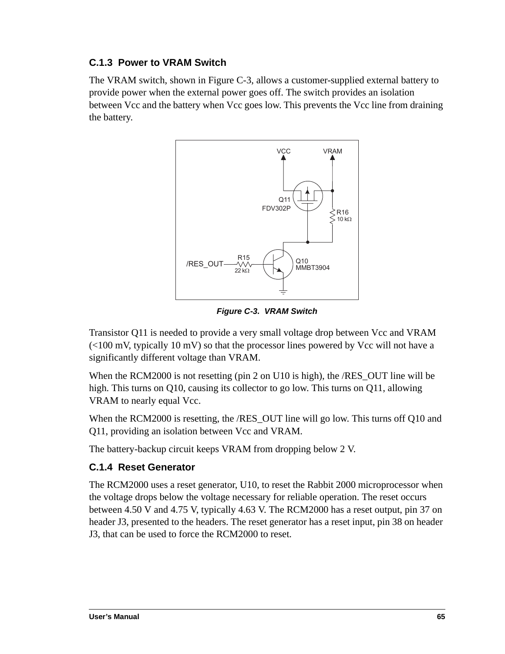### **C.1.3 Power to VRAM Switch**

The VRAM switch, shown in [Figure C-3,](#page-68-0) allows a customer-supplied external battery to provide power when the external power goes off. The switch provides an isolation between Vcc and the battery when Vcc goes low. This prevents the Vcc line from draining the battery.



*Figure C-3. VRAM Switch*

<span id="page-68-0"></span>Transistor Q11 is needed to provide a very small voltage drop between Vcc and VRAM  $\ll 100$  mV, typically 10 mV) so that the processor lines powered by Vcc will not have a significantly different voltage than VRAM.

When the RCM2000 is not resetting (pin 2 on U10 is high), the /RES\_OUT line will be high. This turns on Q10, causing its collector to go low. This turns on Q11, allowing VRAM to nearly equal Vcc.

When the RCM2000 is resetting, the /RES OUT line will go low. This turns off O10 and Q11, providing an isolation between Vcc and VRAM.

The battery-backup circuit keeps VRAM from dropping below 2 V.

#### **C.1.4 Reset Generator**

The RCM2000 uses a reset generator, U10, to reset the Rabbit 2000 microprocessor when the voltage drops below the voltage necessary for reliable operation. The reset occurs between 4.50 V and 4.75 V, typically 4.63 V. The RCM2000 has a reset output, pin 37 on header J3, presented to the headers. The reset generator has a reset input, pin 38 on header J3, that can be used to force the RCM2000 to reset.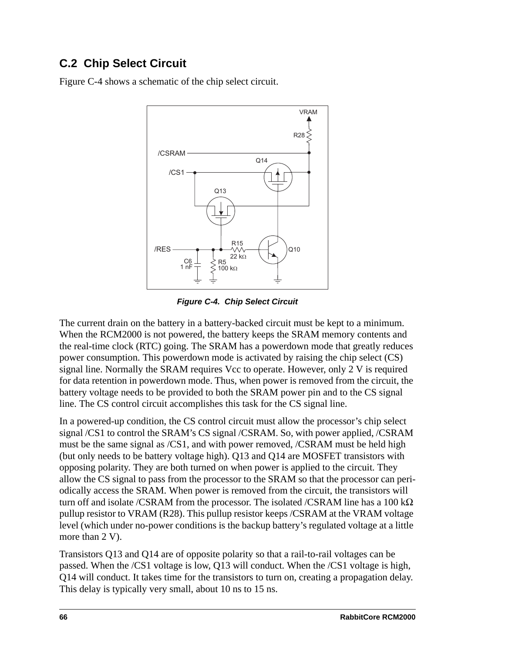## **C.2 Chip Select Circuit**

[Figure C-4](#page-69-0) shows a schematic of the chip select circuit.



*Figure C-4. Chip Select Circuit*

<span id="page-69-0"></span>The current drain on the battery in a battery-backed circuit must be kept to a minimum. When the RCM2000 is not powered, the battery keeps the SRAM memory contents and the real-time clock (RTC) going. The SRAM has a powerdown mode that greatly reduces power consumption. This powerdown mode is activated by raising the chip select (CS) signal line. Normally the SRAM requires Vcc to operate. However, only 2 V is required for data retention in powerdown mode. Thus, when power is removed from the circuit, the battery voltage needs to be provided to both the SRAM power pin and to the CS signal line. The CS control circuit accomplishes this task for the CS signal line.

In a powered-up condition, the CS control circuit must allow the processor's chip select signal /CS1 to control the SRAM's CS signal /CSRAM. So, with power applied, /CSRAM must be the same signal as /CS1, and with power removed, /CSRAM must be held high (but only needs to be battery voltage high). Q13 and Q14 are MOSFET transistors with opposing polarity. They are both turned on when power is applied to the circuit. They allow the CS signal to pass from the processor to the SRAM so that the processor can periodically access the SRAM. When power is removed from the circuit, the transistors will turn off and isolate /CSRAM from the processor. The isolated /CSRAM line has a 100 k $\Omega$ pullup resistor to VRAM (R28). This pullup resistor keeps /CSRAM at the VRAM voltage level (which under no-power conditions is the backup battery's regulated voltage at a little more than 2 V).

Transistors Q13 and Q14 are of opposite polarity so that a rail-to-rail voltages can be passed. When the /CS1 voltage is low, Q13 will conduct. When the /CS1 voltage is high, Q14 will conduct. It takes time for the transistors to turn on, creating a propagation delay. This delay is typically very small, about 10 ns to 15 ns.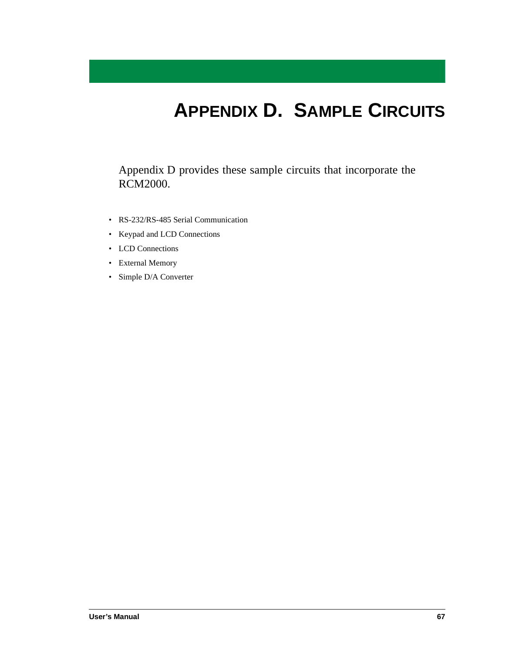# **APPENDIX D. SAMPLE CIRCUITS**

<span id="page-70-0"></span>[Appendix D](#page-70-0) provides these sample circuits that incorporate the RCM2000.

- • [RS-232/RS-485 Serial Communication](#page-71-0)
- • [Keypad and LCD Connections](#page-72-0)
- • [LCD Connections](#page-73-0)
- • [External Memory](#page-74-0)
- • [Simple D/A Converter](#page-75-0)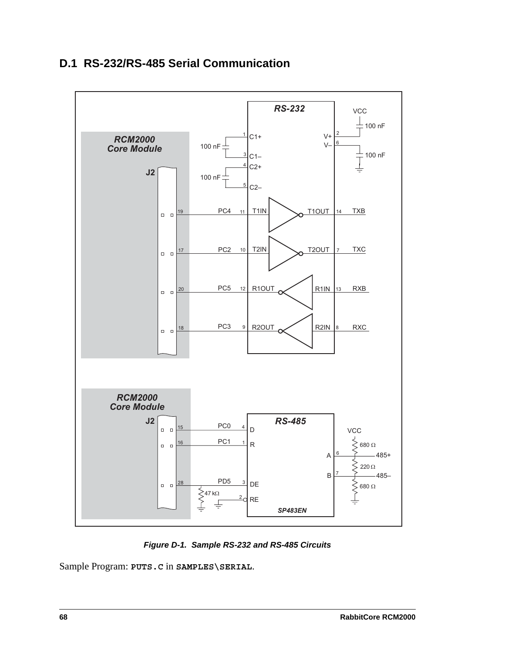## <span id="page-71-0"></span>**D.1 RS-232/RS-485 Serial Communication**



*Figure D-1. Sample RS-232 and RS-485 Circuits*

Sample Program: **PUTS.C** in **SAMPLES\SERIAL**.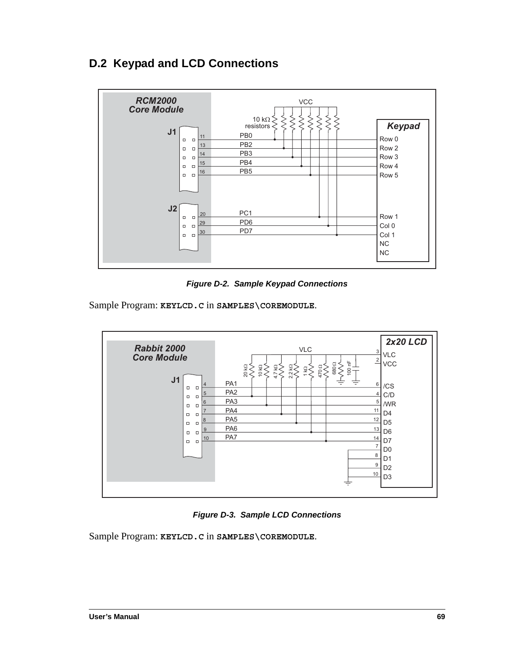# <span id="page-72-0"></span>**D.2 Keypad and LCD Connections**



**Figure D-2. Sample Keypad Connections** 

Sample Program: KEYLCD.C in SAMPLES\COREMODULE.



Figure D-3. Sample LCD Connections

Sample Program: KEYLCD.C in SAMPLES\COREMODULE.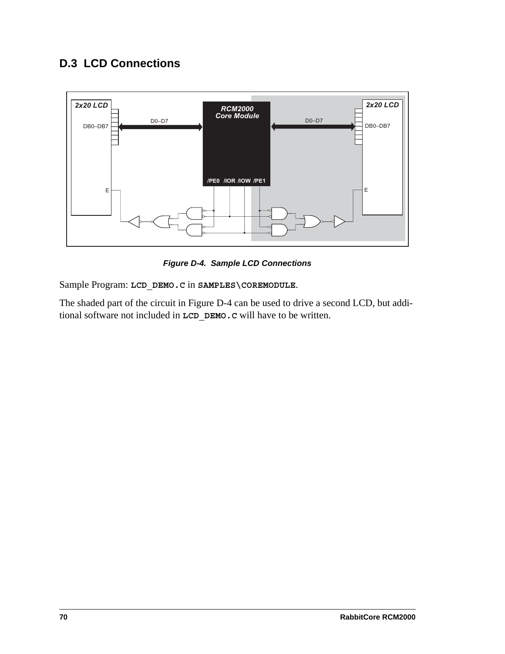# <span id="page-73-1"></span>**D.3 LCD Connections**



*Figure D-4. Sample LCD Connections*

<span id="page-73-0"></span>Sample Program: **LCD\_DEMO.C** in **SAMPLES\COREMODULE**.

The shaded part of the circuit in [Figure D-4](#page-73-0) can be used to drive a second LCD, but additional software not included in **LCD\_DEMO.C** will have to be written.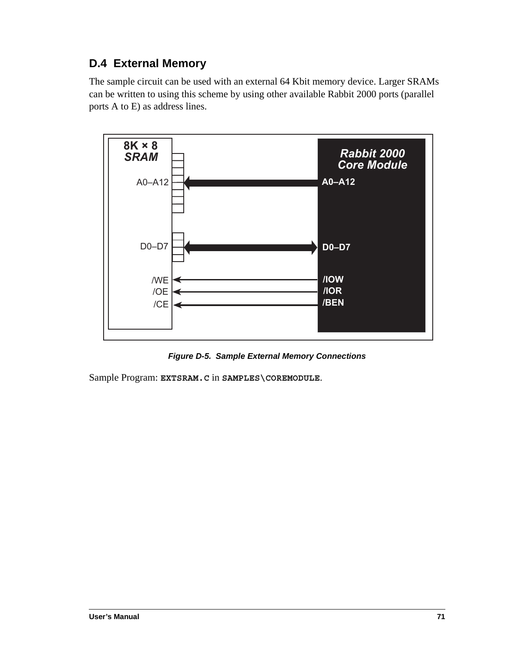# <span id="page-74-0"></span>**D.4 External Memory**

The sample circuit can be used with an external 64 Kbit memory device. Larger SRAMs can be written to using this scheme by using other available Rabbit 2000 ports (parallel ports A to E) as address lines.



*Figure D-5. Sample External Memory Connections*

Sample Program: **EXTSRAM.C** in **SAMPLES\COREMODULE**.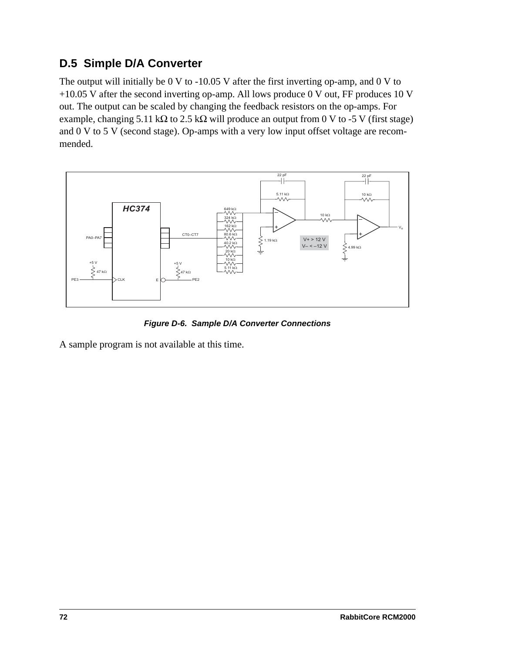## <span id="page-75-0"></span>**D.5 Simple D/A Converter**

The output will initially be 0 V to -10.05 V after the first inverting op-amp, and 0 V to +10.05 V after the second inverting op-amp. All lows produce 0 V out, FF produces 10 V out. The output can be scaled by changing the feedback resistors on the op-amps. For example, changing 5.11 kΩ to 2.5 kΩ will produce an output from 0 V to -5 V (first stage) and 0 V to 5 V (second stage). Op-amps with a very low input offset voltage are recommended.



*Figure D-6. Sample D/A Converter Connections*

A sample program is not available at this time.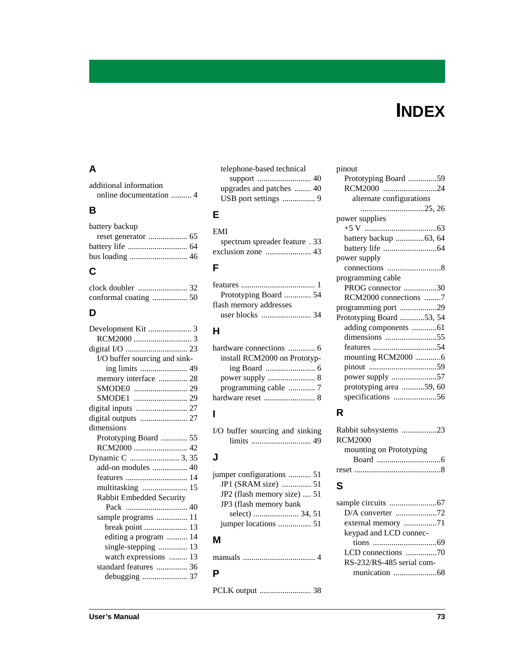# **INDEX**

#### **A**

| additional information |  |
|------------------------|--|
|                        |  |

#### **B**

| battery backup |  |
|----------------|--|
|                |  |
|                |  |
|                |  |
|                |  |

#### **C**

#### **D**

| Development Kit  3            |
|-------------------------------|
|                               |
|                               |
| I/O buffer sourcing and sink- |
| ing limits  49                |
| memory interface  28          |
|                               |
|                               |
| digital inputs  27            |
| digital outputs  27           |
| dimensions                    |
| Prototyping Board  55         |
| RCM2000  42                   |
|                               |
|                               |
| add-on modules  40            |
|                               |
| multitasking  15              |
| Rabbit Embedded Security      |
|                               |
| sample programs  11           |
|                               |
| editing a program  14         |
| single-stepping  13           |
| watch expressions  13         |
| standard features  36         |
| debugging  37                 |
|                               |

| telephone-based technical |  |
|---------------------------|--|
|                           |  |
|                           |  |
|                           |  |
|                           |  |

#### **E**

| EMI                            |
|--------------------------------|
| spectrum spreader feature . 33 |
|                                |

#### **F**

| Prototyping Board  54  |  |
|------------------------|--|
| flash memory addresses |  |
|                        |  |

#### **H**

| hardware connections  6      |  |
|------------------------------|--|
| install RCM2000 on Prototyp- |  |
|                              |  |
|                              |  |
|                              |  |
|                              |  |
|                              |  |

#### **I**

[I/O buffer sourcing and sinking](#page-52-0) limits ............................. 49

#### **J**

| jumper configurations  51   |  |
|-----------------------------|--|
| JP1 (SRAM size)  51         |  |
| JP2 (flash memory size)  51 |  |
| JP3 (flash memory bank      |  |
|                             |  |
|                             |  |
|                             |  |

#### **M**

| manuals |  |  |
|---------|--|--|
|---------|--|--|

#### **P**

[PCLK output ......................... 38](#page-41-0)

#### pinout [Prototyping Board ..............59](#page-62-0) [RCM2000 ..........................24](#page-27-0) [alternate configurations](#page-28-0)  [...............................25,](#page-28-0) [26](#page-29-0) power supplies [+5 V ...................................63](#page-66-0) [battery backup ..............63,](#page-66-1) [64](#page-67-1) [battery life ..........................64](#page-67-0) power supply [connections ..........................8](#page-11-0) programming cable [PROG connector ................30](#page-33-0) [RCM2000 connections ........7](#page-10-0) [programming port ..................29](#page-32-2) [Prototyping Board ............53,](#page-56-0) [54](#page-57-1) [adding components ............61](#page-64-0) [dimensions .........................55](#page-58-0) [features ...............................54](#page-57-0) [mounting RCM2000 ............6](#page-9-2) [pinout .................................59](#page-62-0) [power supply ......................57](#page-60-0) [prototyping area ...........59,](#page-62-1) [60](#page-63-0) [specifications .....................56](#page-59-0)

#### **R**

| Rabbit subsystems 23    |  |
|-------------------------|--|
| RCM2000                 |  |
| mounting on Prototyping |  |
|                         |  |
|                         |  |

#### **S**

| external memory 71        |  |
|---------------------------|--|
| keypad and LCD connec-    |  |
|                           |  |
|                           |  |
| RS-232/RS-485 serial com- |  |
|                           |  |
|                           |  |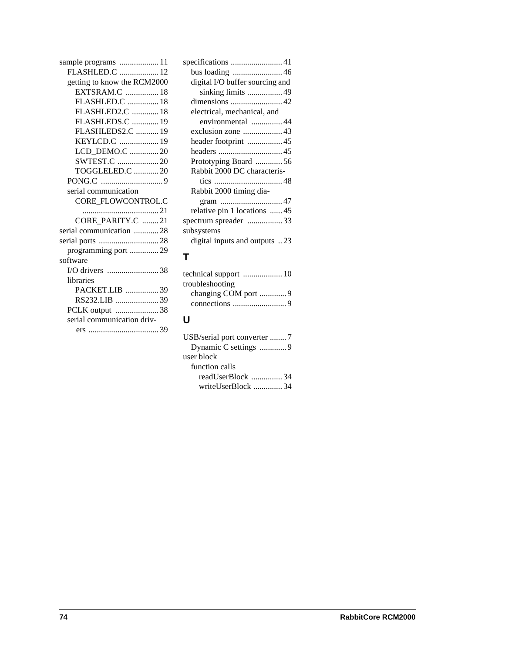| sample programs  11         |
|-----------------------------|
| FLASHLED.C  12              |
| getting to know the RCM2000 |
| EXTSRAM.C  18               |
| FLASHLED.C  18              |
| FLASHLED2.C  18             |
| FLASHLEDS.C  19             |
| FLASHLEDS2.C  19            |
| KEYLCD.C  19                |
| LCD_DEMO.C  20              |
|                             |
| TOGGLELED.C 20              |
|                             |
| serial communication        |
| CORE FLOWCONTROL.C          |
| 21                          |
| CORE_PARITY.C 21            |
| serial communication  28    |
| serial ports 28             |
| programming port  29        |
| software                    |
|                             |
| libraries                   |
| PACKET.LIB 39               |
| RS232.LIB 39                |
| PCLK output 38              |
| serial communication driv-  |
|                             |
|                             |

| specifications  41              |
|---------------------------------|
|                                 |
| digital I/O buffer sourcing and |
| sinking limits  49              |
|                                 |
| electrical, mechanical, and     |
| environmental 44                |
|                                 |
| header footprint  45            |
|                                 |
| Prototyping Board  56           |
| Rabbit 2000 DC characteris-     |
|                                 |
| Rabbit 2000 timing dia-         |
|                                 |
| relative pin 1 locations 45     |
| spectrum spreader 33            |
| subsystems                      |
| digital inputs and outputs 23   |
|                                 |

### **T**

| troubleshooting     |  |
|---------------------|--|
| changing COM port 9 |  |
|                     |  |

# **U**

| USB/serial port converter 7 |
|-----------------------------|
| Dynamic C settings 9        |
| user block                  |
| function calls              |
| readUserBlock 34            |
| writeUserBlock 34           |